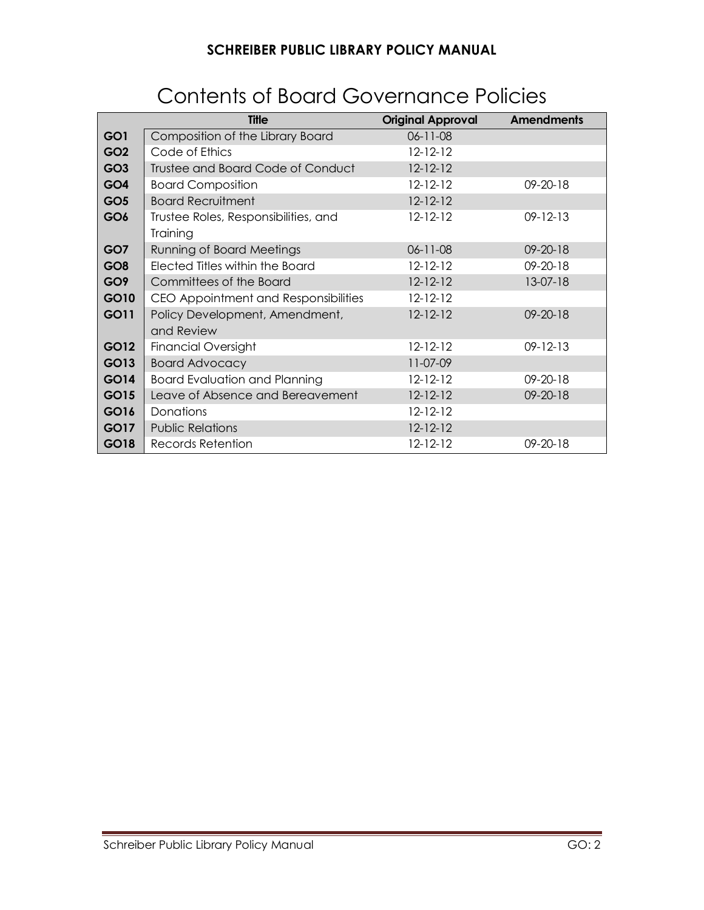|                 | <b>Title</b>                         | <b>Original Approval</b> | <b>Amendments</b> |
|-----------------|--------------------------------------|--------------------------|-------------------|
| GO1             | Composition of the Library Board     | $06 - 11 - 08$           |                   |
| GO <sub>2</sub> | Code of Ethics                       | $12 - 12 - 12$           |                   |
| GO <sub>3</sub> | Trustee and Board Code of Conduct    | $12 - 12 - 12$           |                   |
| GO4             | <b>Board Composition</b>             | $12 - 12 - 12$           | 09-20-18          |
| GO <sub>5</sub> | <b>Board Recruitment</b>             | $12 - 12 - 12$           |                   |
| GO <sub>6</sub> | Trustee Roles, Responsibilities, and | $12 - 12 - 12$           | $09 - 12 - 13$    |
|                 | Training                             |                          |                   |
| GO7             | <b>Running of Board Meetings</b>     | $06 - 11 - 08$           | 09-20-18          |
| GO <sub>8</sub> | Elected Titles within the Board      | $12 - 12 - 12$           | $09 - 20 - 18$    |
| GO <sub>9</sub> | Committees of the Board              | $12 - 12 - 12$           | $13-07-18$        |
| GO10            | CEO Appointment and Responsibilities | $12 - 12 - 12$           |                   |
| GO11            | Policy Development, Amendment,       | $12 - 12 - 12$           | $09 - 20 - 18$    |
|                 | and Review                           |                          |                   |
| GO12            | <b>Financial Oversight</b>           | $12 - 12 - 12$           | $09 - 12 - 13$    |
| GO13            | <b>Board Advocacy</b>                | 11-07-09                 |                   |
| GO14            | <b>Board Evaluation and Planning</b> | $12 - 12 - 12$           | $09 - 20 - 18$    |
| GO15            | Leave of Absence and Bereavement     | $12 - 12 - 12$           | 09-20-18          |
| GO16            | Donations                            | $12 - 12 - 12$           |                   |
| GO17            | <b>Public Relations</b>              | $12 - 12 - 12$           |                   |
| GO18            | Records Retention                    | $12 - 12 - 12$           | $09 - 20 - 18$    |

# Contents of Board Governance Policies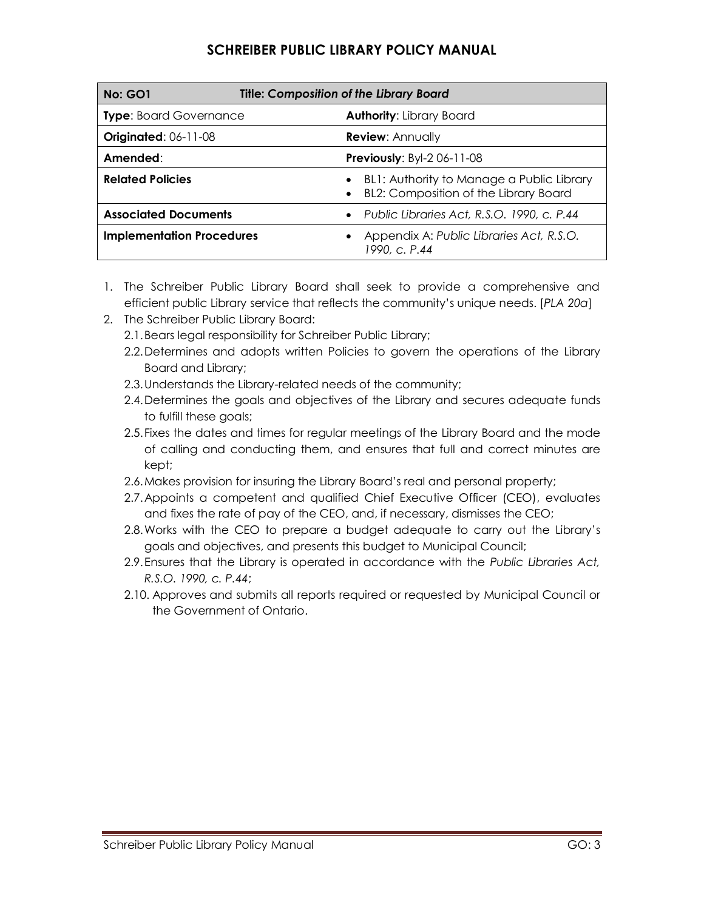| <b>Title: Composition of the Library Board</b><br><b>No: GO1</b> |                                                                                           |
|------------------------------------------------------------------|-------------------------------------------------------------------------------------------|
| <b>Type:</b> Board Governance                                    | <b>Authority: Library Board</b>                                                           |
| <b>Originated: 06-11-08</b>                                      | <b>Review: Annually</b>                                                                   |
| Amended:                                                         | <b>Previously: Byl-2 06-11-08</b>                                                         |
| <b>Related Policies</b>                                          | BL1: Authority to Manage a Public Library<br><b>BL2: Composition of the Library Board</b> |
| <b>Associated Documents</b>                                      | • Public Libraries Act, R.S.O. 1990, c. P.44                                              |
| <b>Implementation Procedures</b>                                 | Appendix A: Public Libraries Act, R.S.O.<br>1990, c. P.44                                 |

- 1. The Schreiber Public Library Board shall seek to provide a comprehensive and efficient public Library service that reflects the community's unique needs. [*PLA 20a*]
- 2. The Schreiber Public Library Board:
	- 2.1.Bears legal responsibility for Schreiber Public Library;
	- 2.2.Determines and adopts written Policies to govern the operations of the Library Board and Library;
	- 2.3.Understands the Library-related needs of the community;
	- 2.4.Determines the goals and objectives of the Library and secures adequate funds to fulfill these goals;
	- 2.5.Fixes the dates and times for regular meetings of the Library Board and the mode of calling and conducting them, and ensures that full and correct minutes are kept;
	- 2.6.Makes provision for insuring the Library Board's real and personal property;
	- 2.7.Appoints a competent and qualified Chief Executive Officer (CEO), evaluates and fixes the rate of pay of the CEO, and, if necessary, dismisses the CEO;
	- 2.8.Works with the CEO to prepare a budget adequate to carry out the Library's goals and objectives, and presents this budget to Municipal Council;
	- 2.9.Ensures that the Library is operated in accordance with the *Public Libraries Act, R.S.O. 1990, c. P.44*;
	- 2.10. Approves and submits all reports required or requested by Municipal Council or the Government of Ontario.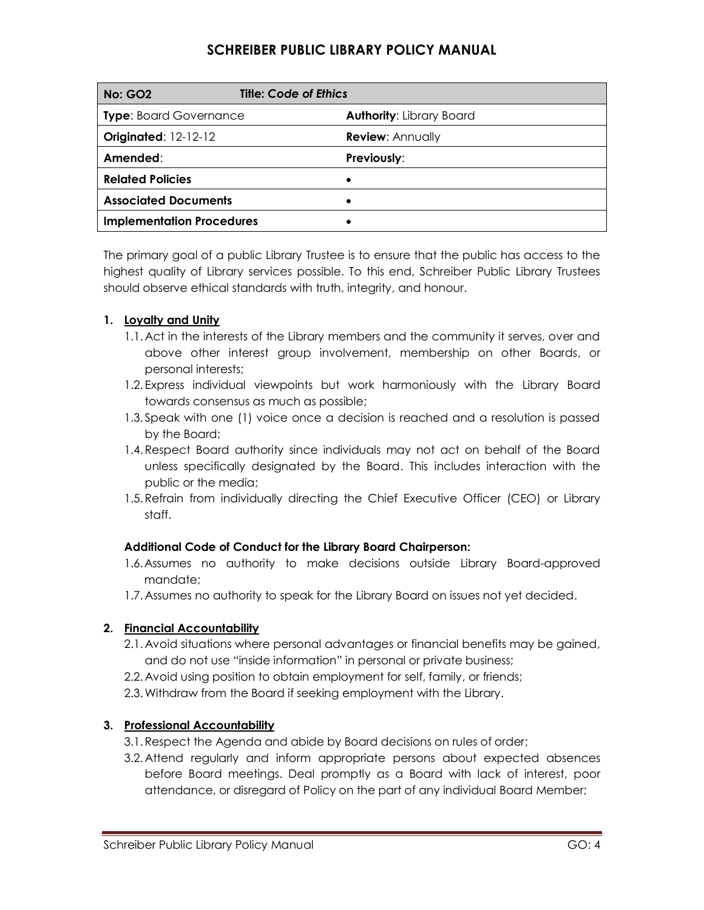| <b>No: GO2</b>                   | <b>Title: Code of Ethics</b>    |
|----------------------------------|---------------------------------|
| <b>Type: Board Governance</b>    | <b>Authority: Library Board</b> |
| <b>Originated: 12-12-12</b>      | <b>Review: Annually</b>         |
| Amended:                         | Previously:                     |
| <b>Related Policies</b>          | ٠                               |
| <b>Associated Documents</b>      | ٠                               |
| <b>Implementation Procedures</b> |                                 |

The primary goal of a public Library Trustee is to ensure that the public has access to the highest quality of Library services possible. To this end, Schreiber Public Library Trustees should observe ethical standards with truth, integrity, and honour.

### **1. Loyalty and Unity**

- 1.1. Act in the interests of the Library members and the community it serves, over and above other interest group involvement, membership on other Boards, or personal interests;
- 1.2. Express individual viewpoints but work harmoniously with the Library Board towards consensus as much as possible;
- 1.3. Speak with one (1) voice once a decision is reached and a resolution is passed by the Board;
- 1.4.Respect Board authority since individuals may not act on behalf of the Board unless specifically designated by the Board. This includes interaction with the public or the media;
- 1.5.Refrain from individually directing the Chief Executive Officer (CEO) or Library staff.

### **Additional Code of Conduct for the Library Board Chairperson:**

- 1.6.Assumes no authority to make decisions outside Library Board-approved mandate;
- 1.7. Assumes no authority to speak for the Library Board on issues not yet decided.

### **2. Financial Accountability**

- 2.1. Avoid situations where personal advantages or financial benefits may be gained, and do not use "inside information" in personal or private business;
- 2.2. Avoid using position to obtain employment for self, family, or friends;
- 2.3.Withdraw from the Board if seeking employment with the Library.

### **3. Professional Accountability**

- 3.1.Respect the Agenda and abide by Board decisions on rules of order;
- 3.2. Attend regularly and inform appropriate persons about expected absences before Board meetings. Deal promptly as a Board with lack of interest, poor attendance, or disregard of Policy on the part of any individual Board Member;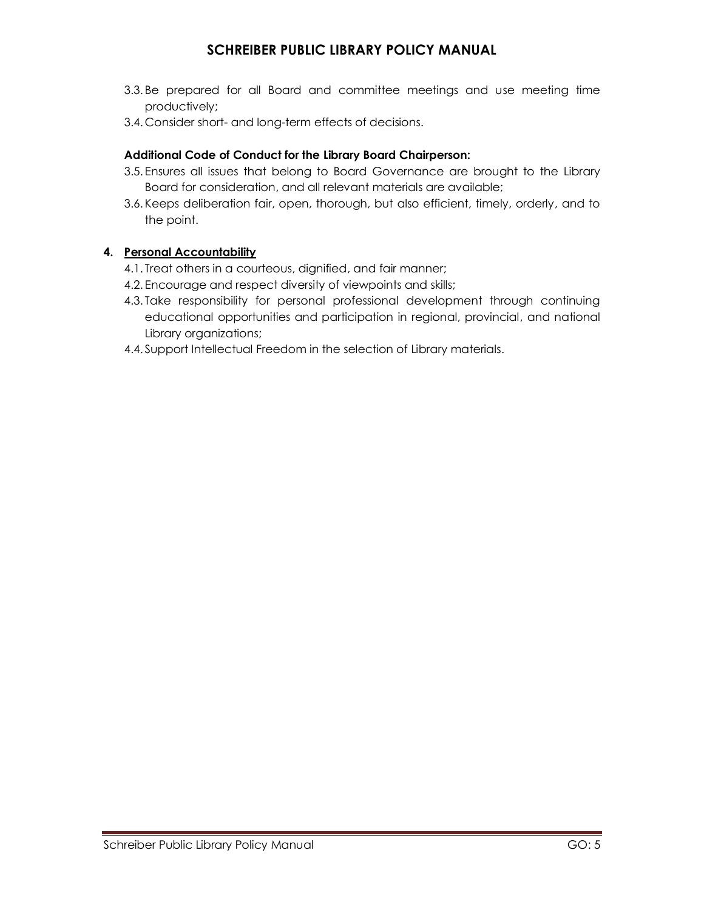- 3.3. Be prepared for all Board and committee meetings and use meeting time productively;
- 3.4. Consider short- and long-term effects of decisions.

### **Additional Code of Conduct for the Library Board Chairperson:**

- 3.5. Ensures all issues that belong to Board Governance are brought to the Library Board for consideration, and all relevant materials are available;
- 3.6. Keeps deliberation fair, open, thorough, but also efficient, timely, orderly, and to the point.

### **4. Personal Accountability**

- 4.1. Treat others in a courteous, dignified, and fair manner;
- 4.2. Encourage and respect diversity of viewpoints and skills;
- 4.3. Take responsibility for personal professional development through continuing educational opportunities and participation in regional, provincial, and national Library organizations;
- 4.4. Support Intellectual Freedom in the selection of Library materials.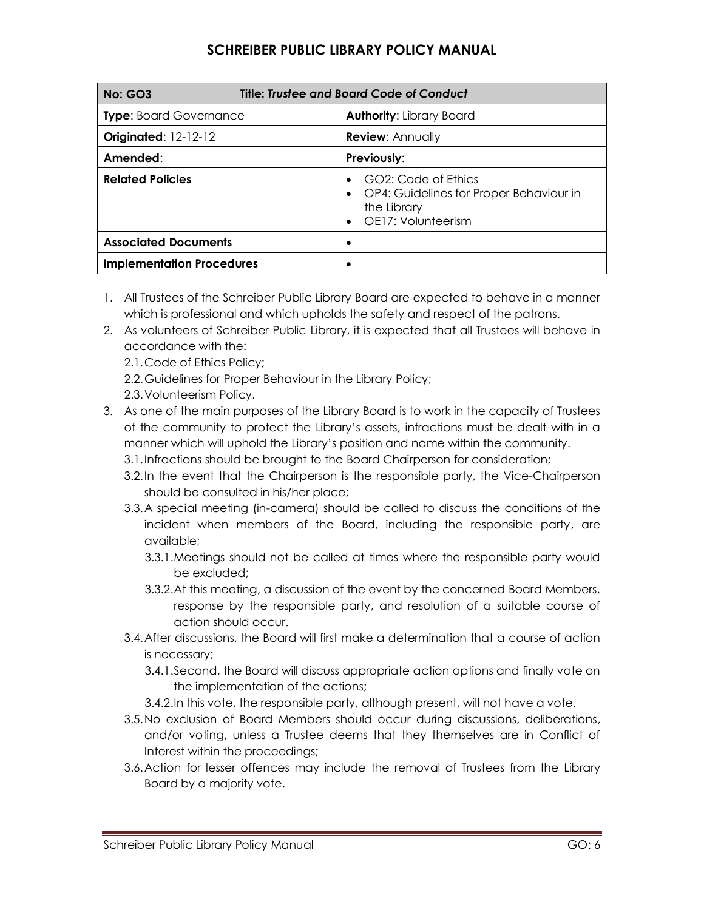| Title: Trustee and Board Code of Conduct<br><b>No: GO3</b> |                                                                                                                    |
|------------------------------------------------------------|--------------------------------------------------------------------------------------------------------------------|
| <b>Type:</b> Board Governance                              | <b>Authority: Library Board</b>                                                                                    |
| <b>Originated: 12-12-12</b>                                | <b>Review: Annually</b>                                                                                            |
| Amended:                                                   | <b>Previously:</b>                                                                                                 |
| <b>Related Policies</b>                                    | GO2: Code of Ethics<br>OP4: Guidelines for Proper Behaviour in<br>$\bullet$<br>the Library<br>• OE17: Volunteerism |
| <b>Associated Documents</b>                                |                                                                                                                    |
| <b>Implementation Procedures</b>                           |                                                                                                                    |

- 1. All Trustees of the Schreiber Public Library Board are expected to behave in a manner which is professional and which upholds the safety and respect of the patrons.
- 2. As volunteers of Schreiber Public Library, it is expected that all Trustees will behave in accordance with the:
	- 2.1.Code of Ethics Policy;
	- 2.2.Guidelines for Proper Behaviour in the Library Policy;
	- 2.3.Volunteerism Policy.
- 3. As one of the main purposes of the Library Board is to work in the capacity of Trustees of the community to protect the Library's assets, infractions must be dealt with in a manner which will uphold the Library's position and name within the community.
	- 3.1.Infractions should be brought to the Board Chairperson for consideration;
	- 3.2.In the event that the Chairperson is the responsible party, the Vice-Chairperson should be consulted in his/her place;
	- 3.3.A special meeting (in-camera) should be called to discuss the conditions of the incident when members of the Board, including the responsible party, are available;
		- 3.3.1.Meetings should not be called at times where the responsible party would be excluded;
		- 3.3.2.At this meeting, a discussion of the event by the concerned Board Members, response by the responsible party, and resolution of a suitable course of action should occur.
	- 3.4.After discussions, the Board will first make a determination that a course of action is necessary;
		- 3.4.1.Second, the Board will discuss appropriate action options and finally vote on the implementation of the actions;
		- 3.4.2.In this vote, the responsible party, although present, will not have a vote.
	- 3.5.No exclusion of Board Members should occur during discussions, deliberations, and/or voting, unless a Trustee deems that they themselves are in Conflict of Interest within the proceedings;
	- 3.6.Action for lesser offences may include the removal of Trustees from the Library Board by a majority vote.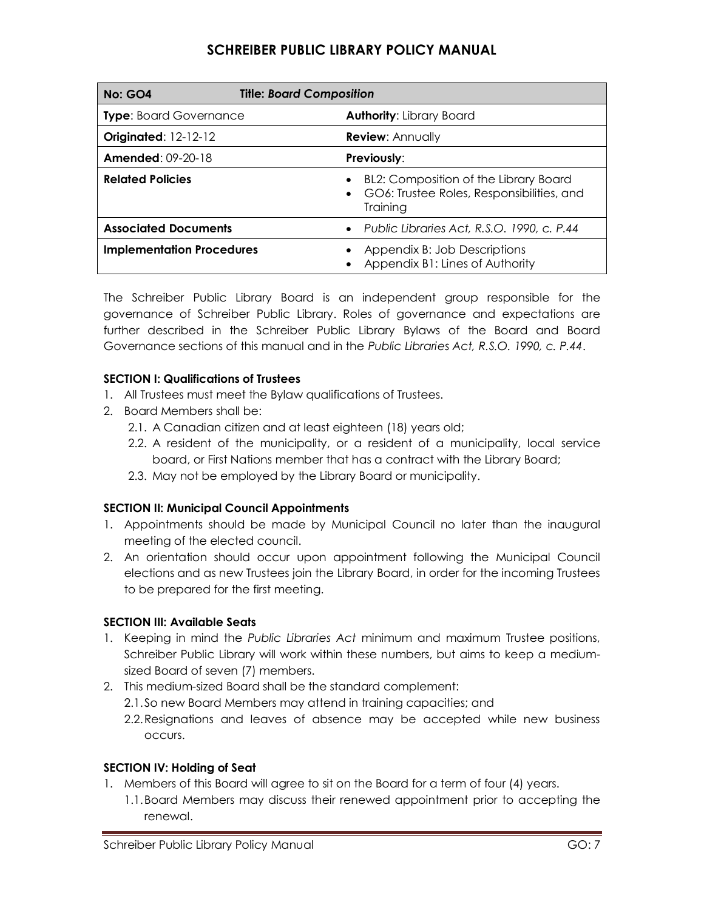| <b>Title: Board Composition</b><br><b>No: GO4</b> |                                                                                                             |
|---------------------------------------------------|-------------------------------------------------------------------------------------------------------------|
| <b>Type:</b> Board Governance                     | <b>Authority: Library Board</b>                                                                             |
| <b>Originated: 12-12-12</b>                       | <b>Review: Annually</b>                                                                                     |
| <b>Amended: 09-20-18</b>                          | <b>Previously:</b>                                                                                          |
| <b>Related Policies</b>                           | BL2: Composition of the Library Board<br>GO6: Trustee Roles, Responsibilities, and<br>$\bullet$<br>Training |
| <b>Associated Documents</b>                       | • Public Libraries Act, R.S.O. 1990, c. P.44                                                                |
| <b>Implementation Procedures</b>                  | Appendix B: Job Descriptions<br>Appendix B1: Lines of Authority                                             |

The Schreiber Public Library Board is an independent group responsible for the governance of Schreiber Public Library. Roles of governance and expectations are further described in the Schreiber Public Library Bylaws of the Board and Board Governance sections of this manual and in the *Public Libraries Act, R.S.O. 1990, c. P.44*.

### **SECTION I: Qualifications of Trustees**

- 1. All Trustees must meet the Bylaw qualifications of Trustees.
- 2. Board Members shall be:
	- 2.1. A Canadian citizen and at least eighteen (18) years old;
	- 2.2. A resident of the municipality, or a resident of a municipality, local service board, or First Nations member that has a contract with the Library Board;
	- 2.3. May not be employed by the Library Board or municipality.

### **SECTION II: Municipal Council Appointments**

- 1. Appointments should be made by Municipal Council no later than the inaugural meeting of the elected council.
- 2. An orientation should occur upon appointment following the Municipal Council elections and as new Trustees join the Library Board, in order for the incoming Trustees to be prepared for the first meeting.

### **SECTION III: Available Seats**

- 1. Keeping in mind the *Public Libraries Act* minimum and maximum Trustee positions, Schreiber Public Library will work within these numbers, but aims to keep a mediumsized Board of seven (7) members.
- 2. This medium-sized Board shall be the standard complement:
	- 2.1.So new Board Members may attend in training capacities; and
	- 2.2.Resignations and leaves of absence may be accepted while new business occurs.

### **SECTION IV: Holding of Seat**

- 1. Members of this Board will agree to sit on the Board for a term of four (4) years.
	- 1.1.Board Members may discuss their renewed appointment prior to accepting the renewal.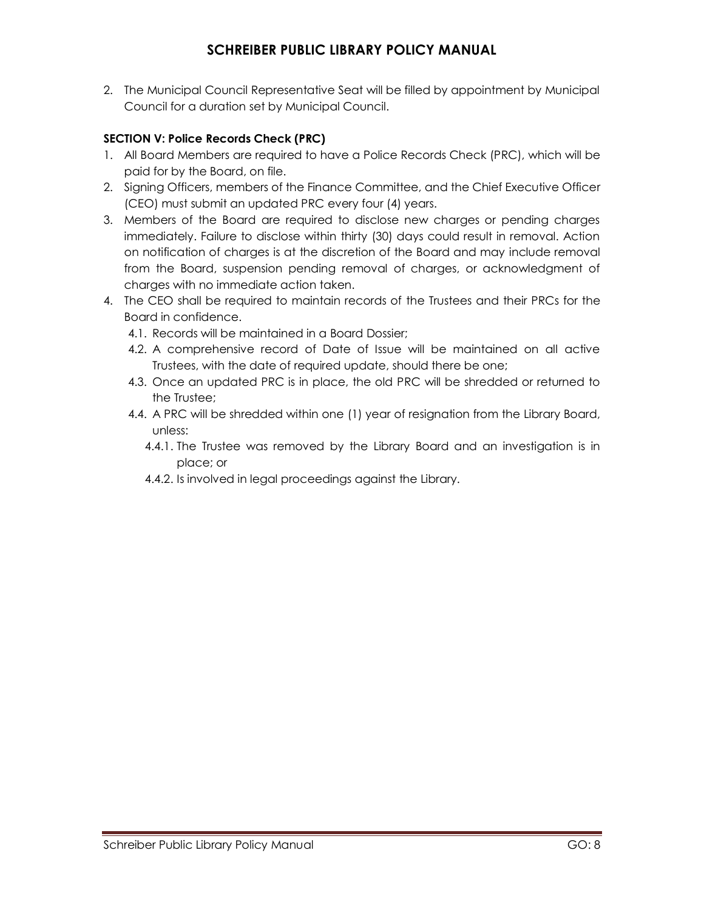2. The Municipal Council Representative Seat will be filled by appointment by Municipal Council for a duration set by Municipal Council.

### **SECTION V: Police Records Check (PRC)**

- 1. All Board Members are required to have a Police Records Check (PRC), which will be paid for by the Board, on file.
- 2. Signing Officers, members of the Finance Committee, and the Chief Executive Officer (CEO) must submit an updated PRC every four (4) years.
- 3. Members of the Board are required to disclose new charges or pending charges immediately. Failure to disclose within thirty (30) days could result in removal. Action on notification of charges is at the discretion of the Board and may include removal from the Board, suspension pending removal of charges, or acknowledgment of charges with no immediate action taken.
- 4. The CEO shall be required to maintain records of the Trustees and their PRCs for the Board in confidence.
	- 4.1. Records will be maintained in a Board Dossier;
	- 4.2. A comprehensive record of Date of Issue will be maintained on all active Trustees, with the date of required update, should there be one;
	- 4.3. Once an updated PRC is in place, the old PRC will be shredded or returned to the Trustee;
	- 4.4. A PRC will be shredded within one (1) year of resignation from the Library Board, unless:
		- 4.4.1. The Trustee was removed by the Library Board and an investigation is in place; or
		- 4.4.2. Is involved in legal proceedings against the Library.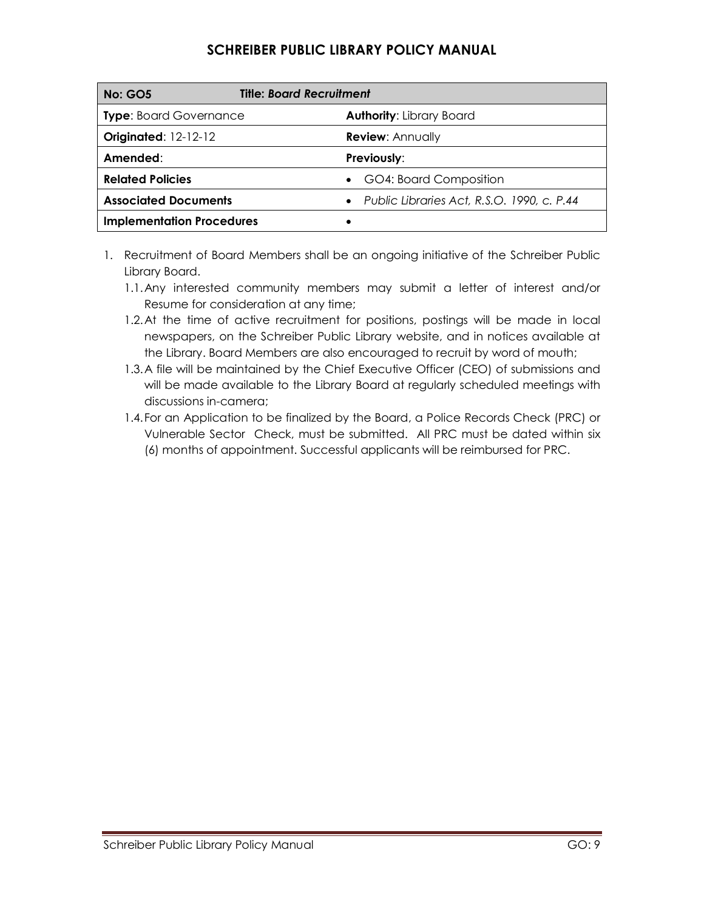| <b>No: GO5</b>                   | <b>Title: Board Recruitment</b>                         |  |
|----------------------------------|---------------------------------------------------------|--|
| <b>Type: Board Governance</b>    | <b>Authority: Library Board</b>                         |  |
| <b>Originated: 12-12-12</b>      | <b>Review: Annually</b>                                 |  |
| Amended:                         | <b>Previously:</b>                                      |  |
| <b>Related Policies</b>          | GO4: Board Composition                                  |  |
| <b>Associated Documents</b>      | Public Libraries Act, R.S.O. 1990, c. P.44<br>$\bullet$ |  |
| <b>Implementation Procedures</b> |                                                         |  |

- 1. Recruitment of Board Members shall be an ongoing initiative of the Schreiber Public Library Board.
	- 1.1.Any interested community members may submit a letter of interest and/or Resume for consideration at any time;
	- 1.2.At the time of active recruitment for positions, postings will be made in local newspapers, on the Schreiber Public Library website, and in notices available at the Library. Board Members are also encouraged to recruit by word of mouth;
	- 1.3.A file will be maintained by the Chief Executive Officer (CEO) of submissions and will be made available to the Library Board at regularly scheduled meetings with discussions in-camera;
	- 1.4.For an Application to be finalized by the Board, a Police Records Check (PRC) or Vulnerable Sector Check, must be submitted. All PRC must be dated within six (6) months of appointment. Successful applicants will be reimbursed for PRC.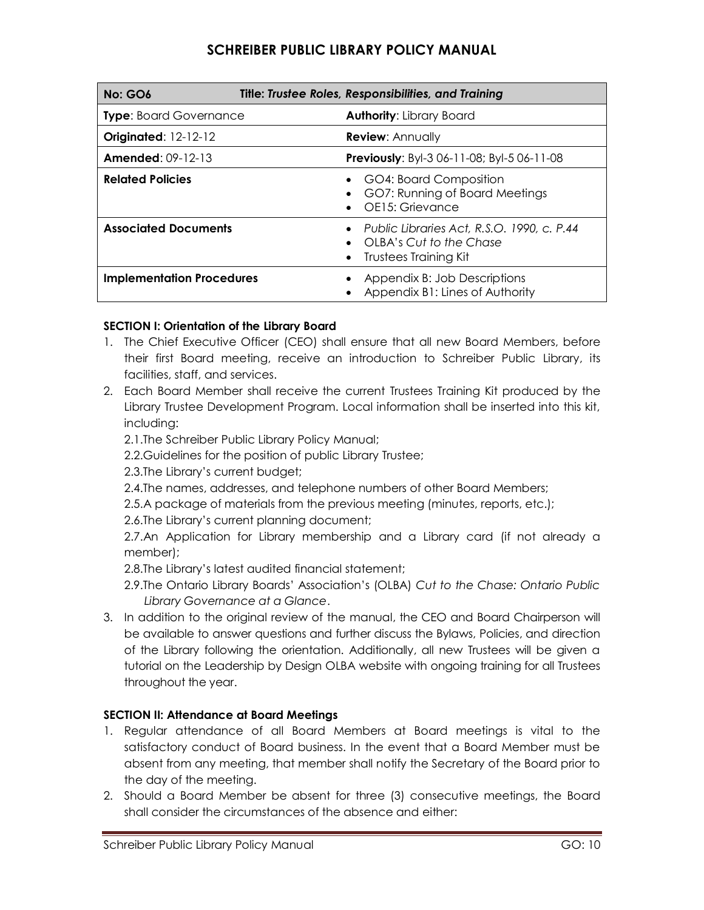| Title: Trustee Roles, Responsibilities, and Training<br><b>No: GO6</b>        |                                                                                                         |
|-------------------------------------------------------------------------------|---------------------------------------------------------------------------------------------------------|
| <b>Type:</b> Board Governance<br><b>Authority: Library Board</b>              |                                                                                                         |
| <b>Originated: 12-12-12</b>                                                   | <b>Review: Annually</b>                                                                                 |
| <b>Amended: 09-12-13</b><br><b>Previously:</b> Byl-3 06-11-08; Byl-5 06-11-08 |                                                                                                         |
| <b>Related Policies</b>                                                       | GO4: Board Composition<br>GO7: Running of Board Meetings<br>OE15: Grievance                             |
| <b>Associated Documents</b>                                                   | • Public Libraries Act, R.S.O. 1990, c. P.44<br>OLBA's Cut to the Chase<br><b>Trustees Training Kit</b> |
| <b>Implementation Procedures</b>                                              | Appendix B: Job Descriptions<br>Appendix B1: Lines of Authority                                         |

### **SECTION I: Orientation of the Library Board**

- 1. The Chief Executive Officer (CEO) shall ensure that all new Board Members, before their first Board meeting, receive an introduction to Schreiber Public Library, its facilities, staff, and services.
- 2. Each Board Member shall receive the current Trustees Training Kit produced by the Library Trustee Development Program. Local information shall be inserted into this kit, including:

2.1.The Schreiber Public Library Policy Manual;

2.2.Guidelines for the position of public Library Trustee;

2.3.The Library's current budget;

2.4.The names, addresses, and telephone numbers of other Board Members;

2.5.A package of materials from the previous meeting (minutes, reports, etc.);

2.6.The Library's current planning document;

2.7.An Application for Library membership and a Library card (if not already a member);

2.8.The Library's latest audited financial statement;

2.9.The Ontario Library Boards' Association's (OLBA) *Cut to the Chase: Ontario Public Library Governance at a Glance*.

3. In addition to the original review of the manual, the CEO and Board Chairperson will be available to answer questions and further discuss the Bylaws, Policies, and direction of the Library following the orientation. Additionally, all new Trustees will be given a tutorial on the Leadership by Design OLBA website with ongoing training for all Trustees throughout the year.

### **SECTION II: Attendance at Board Meetings**

- 1. Regular attendance of all Board Members at Board meetings is vital to the satisfactory conduct of Board business. In the event that a Board Member must be absent from any meeting, that member shall notify the Secretary of the Board prior to the day of the meeting.
- 2. Should a Board Member be absent for three (3) consecutive meetings, the Board shall consider the circumstances of the absence and either: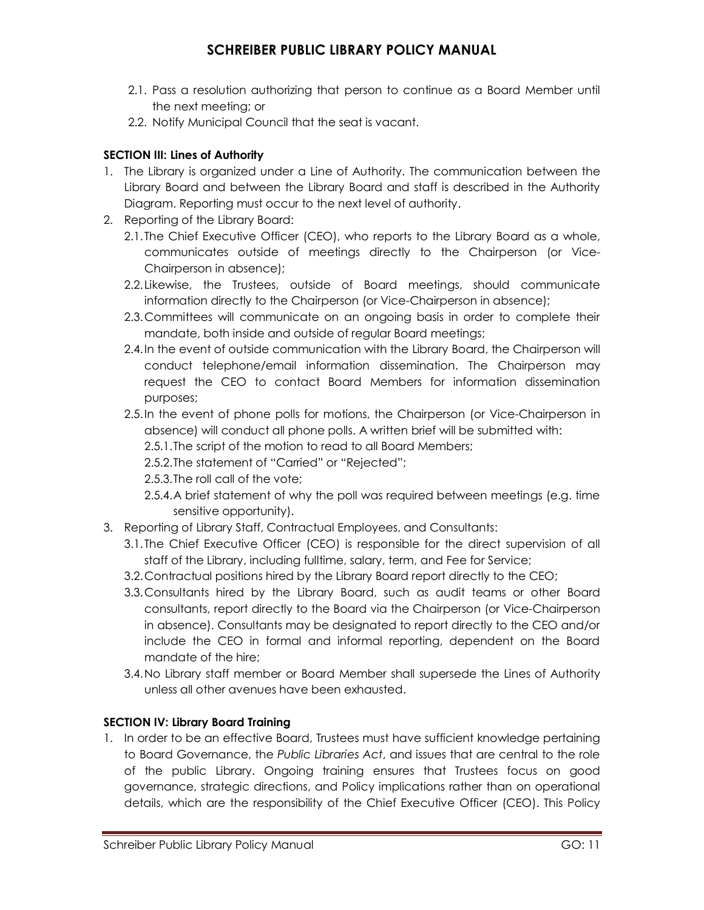- 2.1. Pass a resolution authorizing that person to continue as a Board Member until the next meeting; or
- 2.2. Notify Municipal Council that the seat is vacant.

### **SECTION III: Lines of Authority**

- 1. The Library is organized under a Line of Authority. The communication between the Library Board and between the Library Board and staff is described in the Authority Diagram. Reporting must occur to the next level of authority.
- 2. Reporting of the Library Board:
	- 2.1.The Chief Executive Officer (CEO), who reports to the Library Board as a whole, communicates outside of meetings directly to the Chairperson (or Vice-Chairperson in absence);
	- 2.2.Likewise, the Trustees, outside of Board meetings, should communicate information directly to the Chairperson (or Vice-Chairperson in absence);
	- 2.3.Committees will communicate on an ongoing basis in order to complete their mandate, both inside and outside of regular Board meetings;
	- 2.4.In the event of outside communication with the Library Board, the Chairperson will conduct telephone/email information dissemination. The Chairperson may request the CEO to contact Board Members for information dissemination purposes;
	- 2.5.In the event of phone polls for motions, the Chairperson (or Vice-Chairperson in absence) will conduct all phone polls. A written brief will be submitted with:

2.5.1.The script of the motion to read to all Board Members;

- 2.5.2.The statement of "Carried" or "Rejected";
- 2.5.3.The roll call of the vote;
- 2.5.4.A brief statement of why the poll was required between meetings (e.g. time sensitive opportunity).
- 3. Reporting of Library Staff, Contractual Employees, and Consultants:
	- 3.1.The Chief Executive Officer (CEO) is responsible for the direct supervision of all staff of the Library, including fulltime, salary, term, and Fee for Service;
	- 3.2.Contractual positions hired by the Library Board report directly to the CEO;
	- 3.3.Consultants hired by the Library Board, such as audit teams or other Board consultants, report directly to the Board via the Chairperson (or Vice-Chairperson in absence). Consultants may be designated to report directly to the CEO and/or include the CEO in formal and informal reporting, dependent on the Board mandate of the hire;
	- 3.4.No Library staff member or Board Member shall supersede the Lines of Authority unless all other avenues have been exhausted.

### **SECTION IV: Library Board Training**

1. In order to be an effective Board, Trustees must have sufficient knowledge pertaining to Board Governance, the *Public Libraries Act*, and issues that are central to the role of the public Library. Ongoing training ensures that Trustees focus on good governance, strategic directions, and Policy implications rather than on operational details, which are the responsibility of the Chief Executive Officer (CEO). This Policy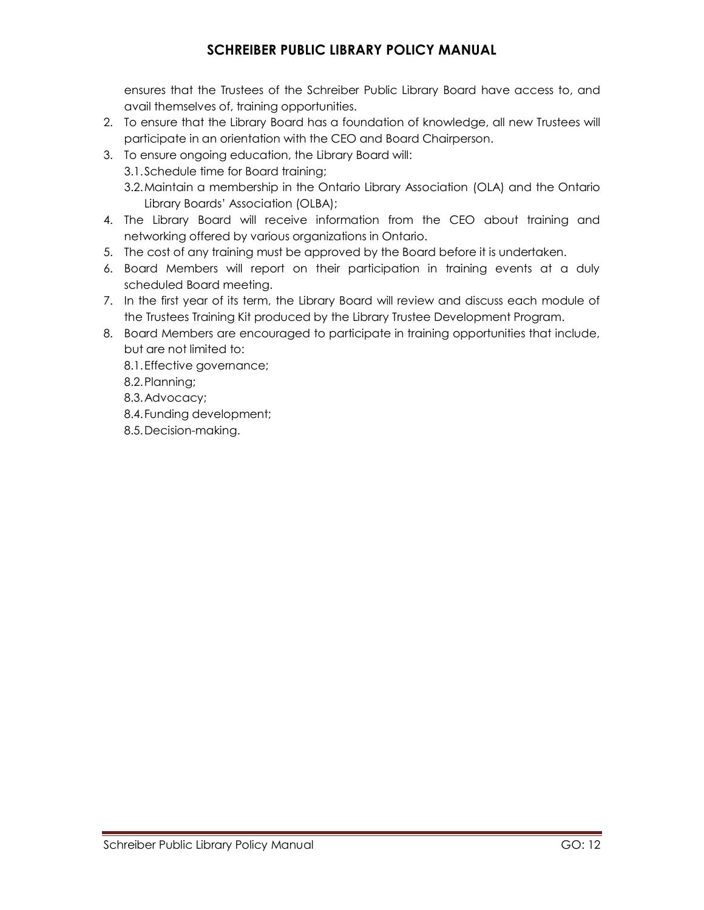ensures that the Trustees of the Schreiber Public Library Board have access to, and avail themselves of, training opportunities.

- 2. To ensure that the Library Board has a foundation of knowledge, all new Trustees will participate in an orientation with the CEO and Board Chairperson.
- 3. To ensure ongoing education, the Library Board will:
	- 3.1.Schedule time for Board training;
	- 3.2.Maintain a membership in the Ontario Library Association (OLA) and the Ontario Library Boards' Association (OLBA);
- 4. The Library Board will receive information from the CEO about training and networking offered by various organizations in Ontario.
- 5. The cost of any training must be approved by the Board before it is undertaken.
- 6. Board Members will report on their participation in training events at a duly scheduled Board meeting.
- 7. In the first year of its term, the Library Board will review and discuss each module of the Trustees Training Kit produced by the Library Trustee Development Program.
- 8. Board Members are encouraged to participate in training opportunities that include, but are not limited to:
	- 8.1.Effective governance;
	- 8.2.Planning;
	- 8.3.Advocacy;
	- 8.4.Funding development;
	- 8.5.Decision-making.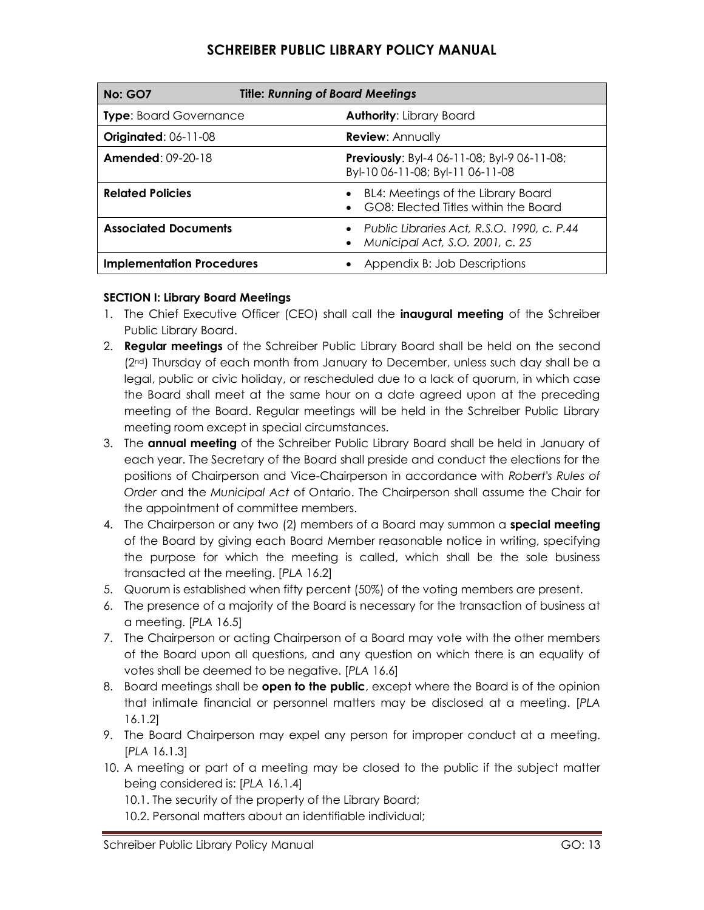| <b>Title: Running of Board Meetings</b><br><b>No: GO7</b> |                                                                                 |
|-----------------------------------------------------------|---------------------------------------------------------------------------------|
| <b>Type: Board Governance</b>                             | <b>Authority: Library Board</b>                                                 |
| <b>Originated: 06-11-08</b>                               | <b>Review: Annually</b>                                                         |
| <b>Amended: 09-20-18</b>                                  | Previously: Byl-4 06-11-08; Byl-9 06-11-08;<br>Byl-10 06-11-08; Byl-11 06-11-08 |
| <b>Related Policies</b>                                   | BL4: Meetings of the Library Board<br>GO8: Flected Titles within the Board      |
| <b>Associated Documents</b>                               | Public Libraries Act, R.S.O. 1990, c. P.44<br>Municipal Act, S.O. 2001, c. 25   |
| <b>Implementation Procedures</b>                          | Appendix B: Job Descriptions                                                    |

### **SECTION I: Library Board Meetings**

- 1. The Chief Executive Officer (CEO) shall call the **inaugural meeting** of the Schreiber Public Library Board.
- 2. **Regular meetings** of the Schreiber Public Library Board shall be held on the second (2nd) Thursday of each month from January to December, unless such day shall be a legal, public or civic holiday, or rescheduled due to a lack of quorum, in which case the Board shall meet at the same hour on a date agreed upon at the preceding meeting of the Board. Regular meetings will be held in the Schreiber Public Library meeting room except in special circumstances.
- 3. The **annual meeting** of the Schreiber Public Library Board shall be held in January of each year. The Secretary of the Board shall preside and conduct the elections for the positions of Chairperson and Vice-Chairperson in accordance with *Robert's Rules of Order* and the *Municipal Act* of Ontario. The Chairperson shall assume the Chair for the appointment of committee members.
- 4. The Chairperson or any two (2) members of a Board may summon a **special meeting** of the Board by giving each Board Member reasonable notice in writing, specifying the purpose for which the meeting is called, which shall be the sole business transacted at the meeting. [*PLA* 16.2]
- 5. Quorum is established when fifty percent (50%) of the voting members are present.
- 6. The presence of a majority of the Board is necessary for the transaction of business at a meeting. [*PLA* 16.5]
- 7. The Chairperson or acting Chairperson of a Board may vote with the other members of the Board upon all questions, and any question on which there is an equality of votes shall be deemed to be negative. [*PLA* 16.6]
- 8. Board meetings shall be **open to the public**, except where the Board is of the opinion that intimate financial or personnel matters may be disclosed at a meeting. [*PLA* 16.1.2]
- 9. The Board Chairperson may expel any person for improper conduct at a meeting. [*PLA* 16.1.3]
- 10. A meeting or part of a meeting may be closed to the public if the subject matter being considered is: [*PLA* 16.1.4]
	- 10.1. The security of the property of the Library Board;
	- 10.2. Personal matters about an identifiable individual;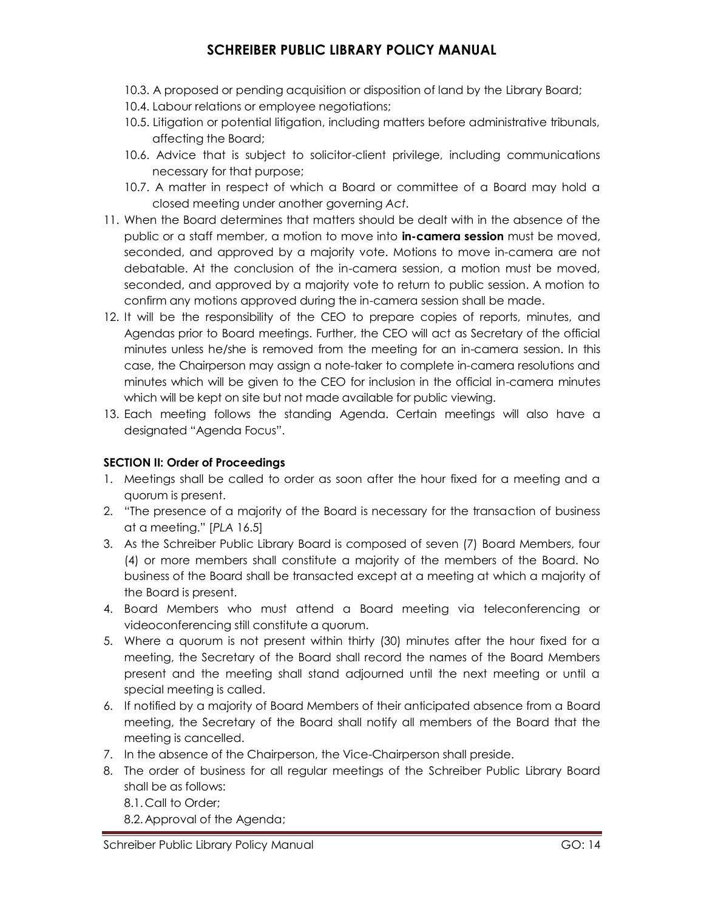- 10.3. A proposed or pending acquisition or disposition of land by the Library Board;
- 10.4. Labour relations or employee negotiations;
- 10.5. Litigation or potential litigation, including matters before administrative tribunals, affecting the Board;
- 10.6. Advice that is subject to solicitor-client privilege, including communications necessary for that purpose;
- 10.7. A matter in respect of which a Board or committee of a Board may hold a closed meeting under another governing *Act*.
- 11. When the Board determines that matters should be dealt with in the absence of the public or a staff member, a motion to move into **in-camera session** must be moved, seconded, and approved by a majority vote. Motions to move in-camera are not debatable. At the conclusion of the in-camera session, a motion must be moved, seconded, and approved by a majority vote to return to public session. A motion to confirm any motions approved during the in-camera session shall be made.
- 12. It will be the responsibility of the CEO to prepare copies of reports, minutes, and Agendas prior to Board meetings. Further, the CEO will act as Secretary of the official minutes unless he/she is removed from the meeting for an in-camera session. In this case, the Chairperson may assign a note-taker to complete in-camera resolutions and minutes which will be given to the CEO for inclusion in the official in-camera minutes which will be kept on site but not made available for public viewing.
- 13. Each meeting follows the standing Agenda. Certain meetings will also have a designated "Agenda Focus".

### **SECTION II: Order of Proceedings**

- 1. Meetings shall be called to order as soon after the hour fixed for a meeting and a quorum is present.
- 2. "The presence of a majority of the Board is necessary for the transaction of business at a meeting." [*PLA* 16.5]
- 3. As the Schreiber Public Library Board is composed of seven (7) Board Members, four (4) or more members shall constitute a majority of the members of the Board. No business of the Board shall be transacted except at a meeting at which a majority of the Board is present.
- 4. Board Members who must attend a Board meeting via teleconferencing or videoconferencing still constitute a quorum.
- 5. Where a quorum is not present within thirty (30) minutes after the hour fixed for a meeting, the Secretary of the Board shall record the names of the Board Members present and the meeting shall stand adjourned until the next meeting or until a special meeting is called.
- 6. If notified by a majority of Board Members of their anticipated absence from a Board meeting, the Secretary of the Board shall notify all members of the Board that the meeting is cancelled.
- 7. In the absence of the Chairperson, the Vice-Chairperson shall preside.
- 8. The order of business for all regular meetings of the Schreiber Public Library Board shall be as follows:
	- 8.1. Call to Order;
	- 8.2. Approval of the Agenda;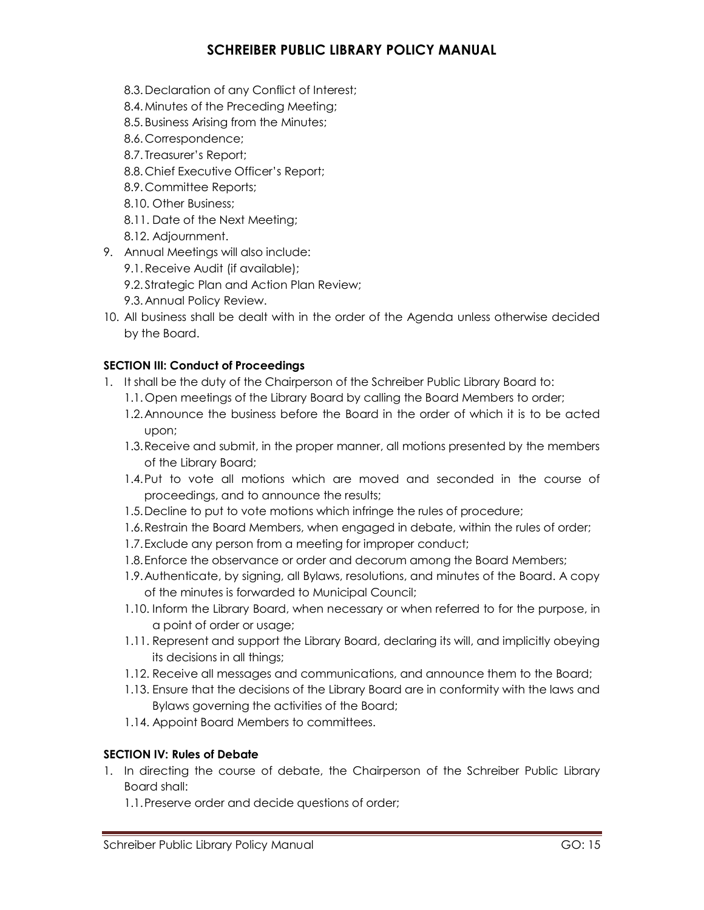- 8.3. Declaration of any Conflict of Interest;
- 8.4.Minutes of the Preceding Meeting;
- 8.5. Business Arising from the Minutes;
- 8.6. Correspondence;
- 8.7. Treasurer's Report;
- 8.8. Chief Executive Officer's Report;
- 8.9. Committee Reports;
- 8.10. Other Business;
- 8.11. Date of the Next Meeting;
- 8.12. Adjournment.
- 9. Annual Meetings will also include:
	- 9.1.Receive Audit (if available);
	- 9.2. Strategic Plan and Action Plan Review;
	- 9.3. Annual Policy Review.
- 10. All business shall be dealt with in the order of the Agenda unless otherwise decided by the Board.

#### **SECTION III: Conduct of Proceedings**

- 1. It shall be the duty of the Chairperson of the Schreiber Public Library Board to:
	- 1.1. Open meetings of the Library Board by calling the Board Members to order;
	- 1.2.Announce the business before the Board in the order of which it is to be acted upon;
	- 1.3.Receive and submit, in the proper manner, all motions presented by the members of the Library Board;
	- 1.4.Put to vote all motions which are moved and seconded in the course of proceedings, and to announce the results;
	- 1.5.Decline to put to vote motions which infringe the rules of procedure;
	- 1.6.Restrain the Board Members, when engaged in debate, within the rules of order;
	- 1.7.Exclude any person from a meeting for improper conduct;
	- 1.8.Enforce the observance or order and decorum among the Board Members;
	- 1.9.Authenticate, by signing, all Bylaws, resolutions, and minutes of the Board. A copy of the minutes is forwarded to Municipal Council;
	- 1.10. Inform the Library Board, when necessary or when referred to for the purpose, in a point of order or usage;
	- 1.11. Represent and support the Library Board, declaring its will, and implicitly obeying its decisions in all things;
	- 1.12. Receive all messages and communications, and announce them to the Board;
	- 1.13. Ensure that the decisions of the Library Board are in conformity with the laws and Bylaws governing the activities of the Board;
	- 1.14. Appoint Board Members to committees.

### **SECTION IV: Rules of Debate**

- 1. In directing the course of debate, the Chairperson of the Schreiber Public Library Board shall:
	- 1.1.Preserve order and decide questions of order;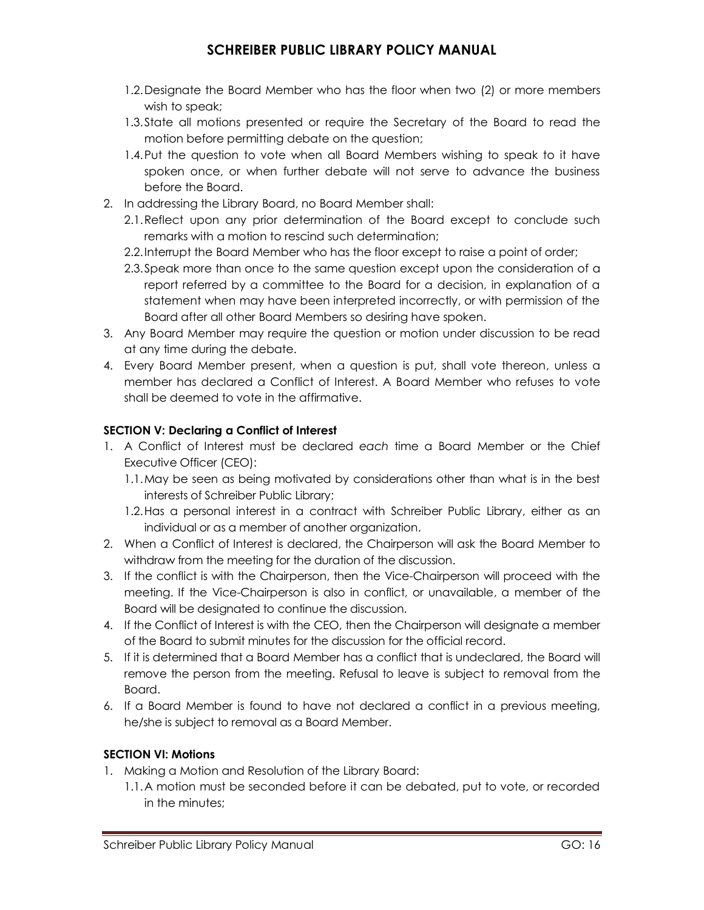- 1.2.Designate the Board Member who has the floor when two (2) or more members wish to speak;
- 1.3.State all motions presented or require the Secretary of the Board to read the motion before permitting debate on the question;
- 1.4.Put the question to vote when all Board Members wishing to speak to it have spoken once, or when further debate will not serve to advance the business before the Board.
- 2. In addressing the Library Board, no Board Member shall:
	- 2.1.Reflect upon any prior determination of the Board except to conclude such remarks with a motion to rescind such determination;
	- 2.2.Interrupt the Board Member who has the floor except to raise a point of order;
	- 2.3.Speak more than once to the same question except upon the consideration of a report referred by a committee to the Board for a decision, in explanation of a statement when may have been interpreted incorrectly, or with permission of the Board after all other Board Members so desiring have spoken.
- 3. Any Board Member may require the question or motion under discussion to be read at any time during the debate.
- 4. Every Board Member present, when a question is put, shall vote thereon, unless a member has declared a Conflict of Interest. A Board Member who refuses to vote shall be deemed to vote in the affirmative.

### **SECTION V: Declaring a Conflict of Interest**

- 1. A Conflict of Interest must be declared *each* time a Board Member or the Chief Executive Officer (CEO):
	- 1.1.May be seen as being motivated by considerations other than what is in the best interests of Schreiber Public Library;
	- 1.2.Has a personal interest in a contract with Schreiber Public Library, either as an individual or as a member of another organization.
- 2. When a Conflict of Interest is declared, the Chairperson will ask the Board Member to withdraw from the meeting for the duration of the discussion.
- 3. If the conflict is with the Chairperson, then the Vice-Chairperson will proceed with the meeting. If the Vice-Chairperson is also in conflict, or unavailable, a member of the Board will be designated to continue the discussion.
- 4. If the Conflict of Interest is with the CEO, then the Chairperson will designate a member of the Board to submit minutes for the discussion for the official record.
- 5. If it is determined that a Board Member has a conflict that is undeclared, the Board will remove the person from the meeting. Refusal to leave is subject to removal from the Board.
- 6. If a Board Member is found to have not declared a conflict in a previous meeting, he/she is subject to removal as a Board Member.

### **SECTION VI: Motions**

- 1. Making a Motion and Resolution of the Library Board:
	- 1.1.A motion must be seconded before it can be debated, put to vote, or recorded in the minutes;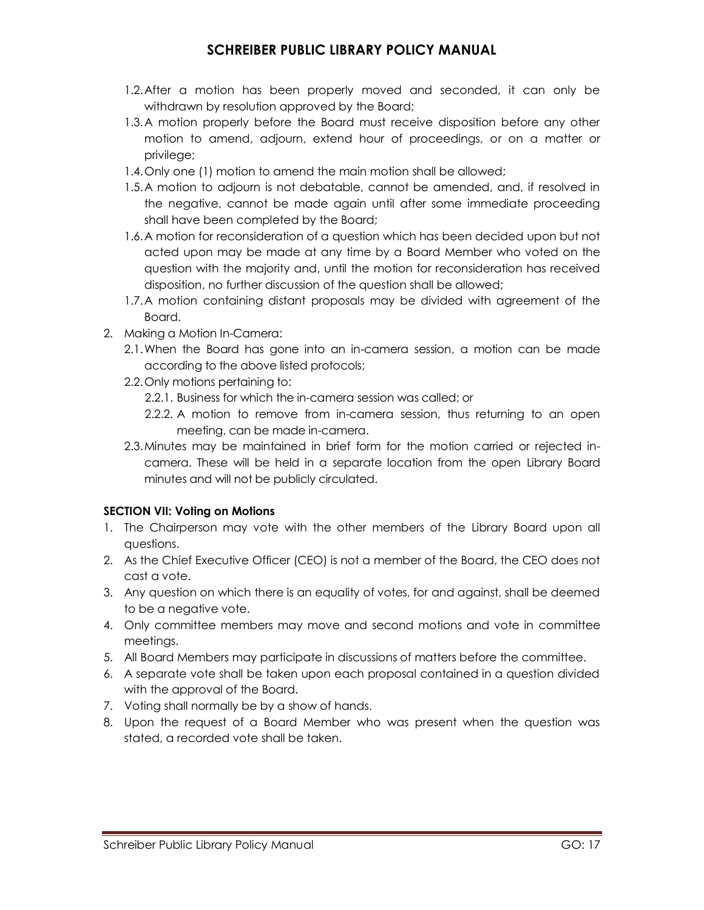- 1.2.After a motion has been properly moved and seconded, it can only be withdrawn by resolution approved by the Board;
- 1.3.A motion properly before the Board must receive disposition before any other motion to amend, adjourn, extend hour of proceedings, or on a matter or privilege;
- 1.4.Only one (1) motion to amend the main motion shall be allowed;
- 1.5.A motion to adjourn is not debatable, cannot be amended, and, if resolved in the negative, cannot be made again until after some immediate proceeding shall have been completed by the Board;
- 1.6.A motion for reconsideration of a question which has been decided upon but not acted upon may be made at any time by a Board Member who voted on the question with the majority and, until the motion for reconsideration has received disposition, no further discussion of the question shall be allowed;
- 1.7.A motion containing distant proposals may be divided with agreement of the Board.
- 2. Making a Motion In-Camera:
	- 2.1.When the Board has gone into an in-camera session, a motion can be made according to the above listed protocols;
	- 2.2.Only motions pertaining to:
		- 2.2.1. Business for which the in-camera session was called; or
		- 2.2.2. A motion to remove from in-camera session, thus returning to an open meeting, can be made in-camera.
	- 2.3.Minutes may be maintained in brief form for the motion carried or rejected incamera. These will be held in a separate location from the open Library Board minutes and will not be publicly circulated.

### **SECTION VII: Voting on Motions**

- 1. The Chairperson may vote with the other members of the Library Board upon all questions.
- 2. As the Chief Executive Officer (CEO) is not a member of the Board, the CEO does not cast a vote.
- 3. Any question on which there is an equality of votes, for and against, shall be deemed to be a negative vote.
- 4. Only committee members may move and second motions and vote in committee meetings.
- 5. All Board Members may participate in discussions of matters before the committee.
- 6. A separate vote shall be taken upon each proposal contained in a question divided with the approval of the Board.
- 7. Voting shall normally be by a show of hands.
- 8. Upon the request of a Board Member who was present when the question was stated, a recorded vote shall be taken.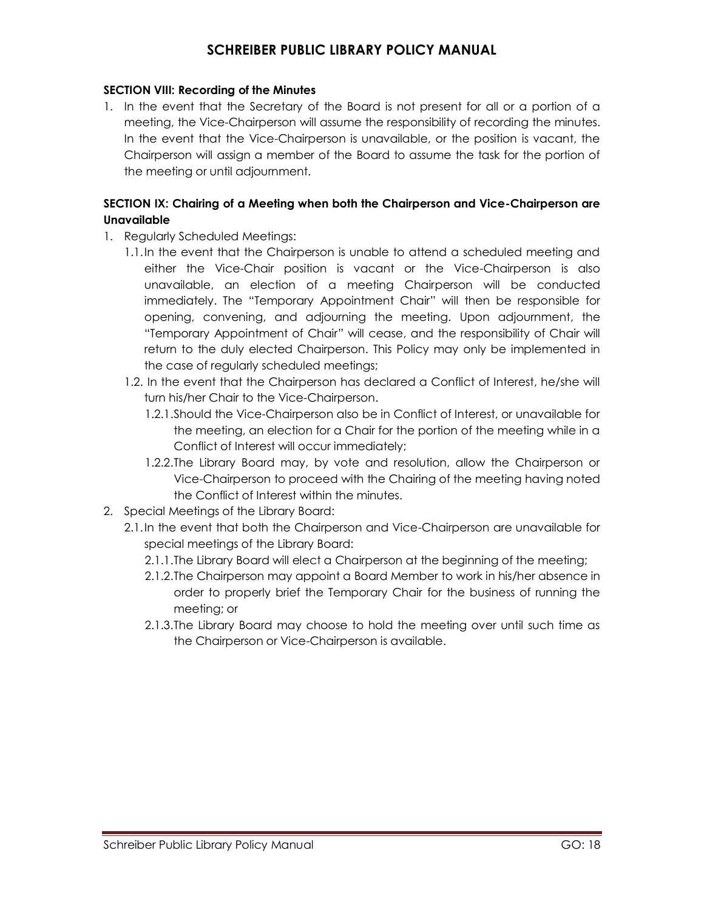#### **SECTION VIII: Recording of the Minutes**

1. In the event that the Secretary of the Board is not present for all or a portion of a meeting, the Vice-Chairperson will assume the responsibility of recording the minutes. In the event that the Vice-Chairperson is unavailable, or the position is vacant, the Chairperson will assign a member of the Board to assume the task for the portion of the meeting or until adjournment.

### **SECTION IX: Chairing of a Meeting when both the Chairperson and Vice-Chairperson are Unavailable**

- 1. Regularly Scheduled Meetings:
	- 1.1.In the event that the Chairperson is unable to attend a scheduled meeting and either the Vice-Chair position is vacant or the Vice-Chairperson is also unavailable, an election of a meeting Chairperson will be conducted immediately. The "Temporary Appointment Chair" will then be responsible for opening, convening, and adjourning the meeting. Upon adjournment, the "Temporary Appointment of Chair" will cease, and the responsibility of Chair will return to the duly elected Chairperson. This Policy may only be implemented in the case of regularly scheduled meetings;
	- 1.2. In the event that the Chairperson has declared a Conflict of Interest, he/she will turn his/her Chair to the Vice-Chairperson.
		- 1.2.1.Should the Vice-Chairperson also be in Conflict of Interest, or unavailable for the meeting, an election for a Chair for the portion of the meeting while in a Conflict of Interest will occur immediately;
		- 1.2.2.The Library Board may, by vote and resolution, allow the Chairperson or Vice-Chairperson to proceed with the Chairing of the meeting having noted the Conflict of Interest within the minutes.
- 2. Special Meetings of the Library Board:
	- 2.1.In the event that both the Chairperson and Vice-Chairperson are unavailable for special meetings of the Library Board:
		- 2.1.1.The Library Board will elect a Chairperson at the beginning of the meeting;
		- 2.1.2.The Chairperson may appoint a Board Member to work in his/her absence in order to properly brief the Temporary Chair for the business of running the meeting; or
		- 2.1.3.The Library Board may choose to hold the meeting over until such time as the Chairperson or Vice-Chairperson is available.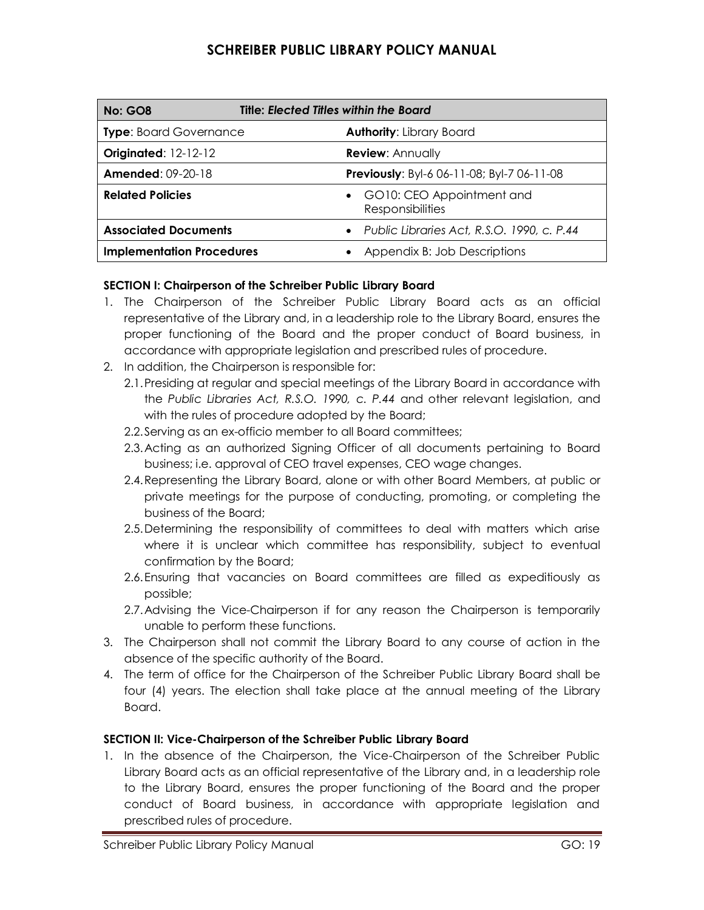| <b>Title: Elected Titles within the Board</b><br><b>No: GO8</b> |                                                      |
|-----------------------------------------------------------------|------------------------------------------------------|
| <b>Type:</b> Board Governance                                   | <b>Authority: Library Board</b>                      |
| <b>Originated: 12-12-12</b>                                     | <b>Review: Annually</b>                              |
| <b>Amended: 09-20-18</b>                                        | <b>Previously:</b> Byl-6 06-11-08; Byl-7 06-11-08    |
| <b>Related Policies</b>                                         | GO10: CEO Appointment and<br><b>Responsibilities</b> |
| <b>Associated Documents</b>                                     | • Public Libraries Act, R.S.O. 1990, c. P.44         |
| <b>Implementation Procedures</b>                                | Appendix B: Job Descriptions                         |

### **SECTION I: Chairperson of the Schreiber Public Library Board**

- 1. The Chairperson of the Schreiber Public Library Board acts as an official representative of the Library and, in a leadership role to the Library Board, ensures the proper functioning of the Board and the proper conduct of Board business, in accordance with appropriate legislation and prescribed rules of procedure.
- 2. In addition, the Chairperson is responsible for:
	- 2.1.Presiding at regular and special meetings of the Library Board in accordance with the *Public Libraries Act, R.S.O. 1990, c. P.44* and other relevant legislation, and with the rules of procedure adopted by the Board;
	- 2.2.Serving as an ex-officio member to all Board committees;
	- 2.3.Acting as an authorized Signing Officer of all documents pertaining to Board business; i.e. approval of CEO travel expenses, CEO wage changes.
	- 2.4.Representing the Library Board, alone or with other Board Members, at public or private meetings for the purpose of conducting, promoting, or completing the business of the Board;
	- 2.5.Determining the responsibility of committees to deal with matters which arise where it is unclear which committee has responsibility, subject to eventual confirmation by the Board;
	- 2.6.Ensuring that vacancies on Board committees are filled as expeditiously as possible;
	- 2.7.Advising the Vice-Chairperson if for any reason the Chairperson is temporarily unable to perform these functions.
- 3. The Chairperson shall not commit the Library Board to any course of action in the absence of the specific authority of the Board.
- 4. The term of office for the Chairperson of the Schreiber Public Library Board shall be four (4) years. The election shall take place at the annual meeting of the Library Board.

### **SECTION II: Vice-Chairperson of the Schreiber Public Library Board**

1. In the absence of the Chairperson, the Vice-Chairperson of the Schreiber Public Library Board acts as an official representative of the Library and, in a leadership role to the Library Board, ensures the proper functioning of the Board and the proper conduct of Board business, in accordance with appropriate legislation and prescribed rules of procedure.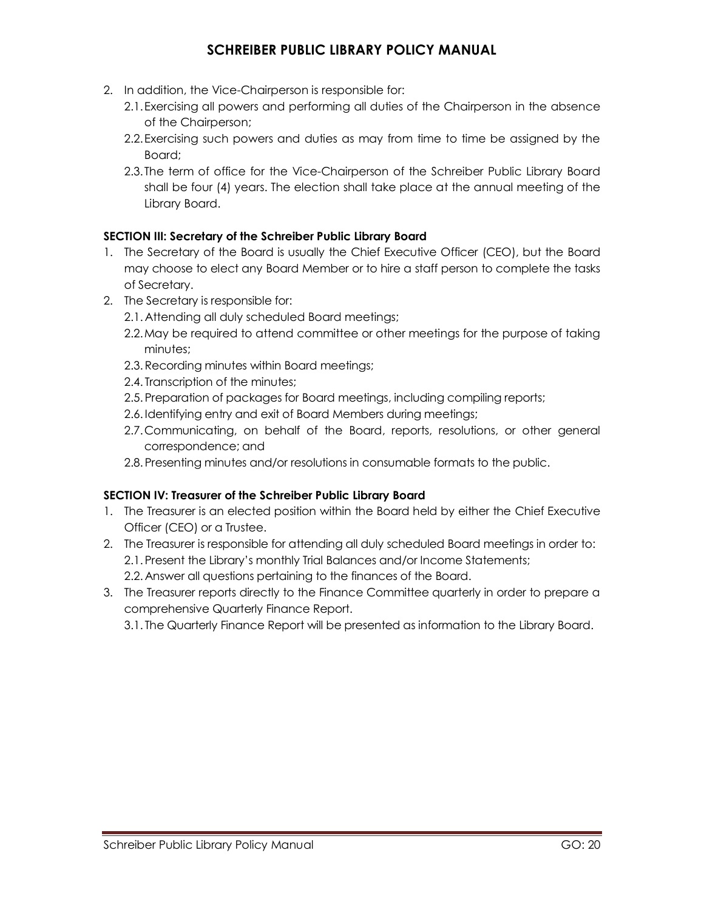- 2. In addition, the Vice-Chairperson is responsible for:
	- 2.1.Exercising all powers and performing all duties of the Chairperson in the absence of the Chairperson;
	- 2.2.Exercising such powers and duties as may from time to time be assigned by the Board;
	- 2.3.The term of office for the Vice-Chairperson of the Schreiber Public Library Board shall be four (4) years. The election shall take place at the annual meeting of the Library Board.

### **SECTION III: Secretary of the Schreiber Public Library Board**

- 1. The Secretary of the Board is usually the Chief Executive Officer (CEO), but the Board may choose to elect any Board Member or to hire a staff person to complete the tasks of Secretary.
- 2. The Secretary is responsible for:
	- 2.1. Attending all duly scheduled Board meetings;
	- 2.2.May be required to attend committee or other meetings for the purpose of taking minutes;
	- 2.3.Recording minutes within Board meetings;
	- 2.4. Transcription of the minutes;
	- 2.5. Preparation of packages for Board meetings, including compiling reports;
	- 2.6. Identifying entry and exit of Board Members during meetings;
	- 2.7.Communicating, on behalf of the Board, reports, resolutions, or other general correspondence; and
	- 2.8. Presenting minutes and/or resolutions in consumable formats to the public.

### **SECTION IV: Treasurer of the Schreiber Public Library Board**

- 1. The Treasurer is an elected position within the Board held by either the Chief Executive Officer (CEO) or a Trustee.
- 2. The Treasurer is responsible for attending all duly scheduled Board meetings in order to: 2.1. Present the Library's monthly Trial Balances and/or Income Statements; 2.2. Answer all questions pertaining to the finances of the Board.
- 3. The Treasurer reports directly to the Finance Committee quarterly in order to prepare a comprehensive Quarterly Finance Report.

3.1. The Quarterly Finance Report will be presented as information to the Library Board.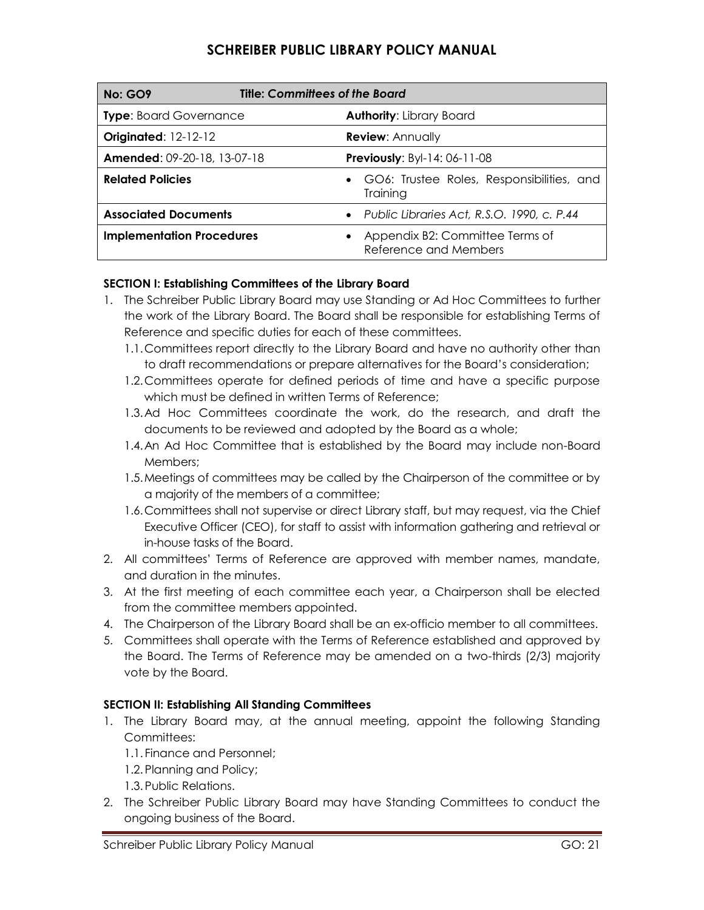| <b>Title: Committees of the Board</b><br><b>No: GO9</b> |                                                          |
|---------------------------------------------------------|----------------------------------------------------------|
| <b>Type:</b> Board Governance                           | <b>Authority: Library Board</b>                          |
| <b>Originated: 12-12-12</b>                             | <b>Review: Annually</b>                                  |
| Amended: 09-20-18, 13-07-18                             | <b>Previously: Byl-14: 06-11-08</b>                      |
| <b>Related Policies</b>                                 | • GO6: Trustee Roles, Responsibilities, and<br>Training  |
| <b>Associated Documents</b>                             | • Public Libraries Act, R.S.O. 1990, c. P.44             |
| <b>Implementation Procedures</b>                        | Appendix B2: Committee Terms of<br>Reference and Members |

### **SECTION I: Establishing Committees of the Library Board**

- 1. The Schreiber Public Library Board may use Standing or Ad Hoc Committees to further the work of the Library Board. The Board shall be responsible for establishing Terms of Reference and specific duties for each of these committees.
	- 1.1.Committees report directly to the Library Board and have no authority other than to draft recommendations or prepare alternatives for the Board's consideration;
	- 1.2.Committees operate for defined periods of time and have a specific purpose which must be defined in written Terms of Reference;
	- 1.3.Ad Hoc Committees coordinate the work, do the research, and draft the documents to be reviewed and adopted by the Board as a whole;
	- 1.4.An Ad Hoc Committee that is established by the Board may include non-Board Members;
	- 1.5.Meetings of committees may be called by the Chairperson of the committee or by a majority of the members of a committee;
	- 1.6.Committees shall not supervise or direct Library staff, but may request, via the Chief Executive Officer (CEO), for staff to assist with information gathering and retrieval or in-house tasks of the Board.
- 2. All committees' Terms of Reference are approved with member names, mandate, and duration in the minutes.
- 3. At the first meeting of each committee each year, a Chairperson shall be elected from the committee members appointed.
- 4. The Chairperson of the Library Board shall be an ex-officio member to all committees.
- 5. Committees shall operate with the Terms of Reference established and approved by the Board. The Terms of Reference may be amended on a two-thirds (2/3) majority vote by the Board.

### **SECTION II: Establishing All Standing Committees**

- 1. The Library Board may, at the annual meeting, appoint the following Standing Committees:
	- 1.1. Finance and Personnel;
	- 1.2. Planning and Policy;
	- 1.3. Public Relations.
- 2. The Schreiber Public Library Board may have Standing Committees to conduct the ongoing business of the Board.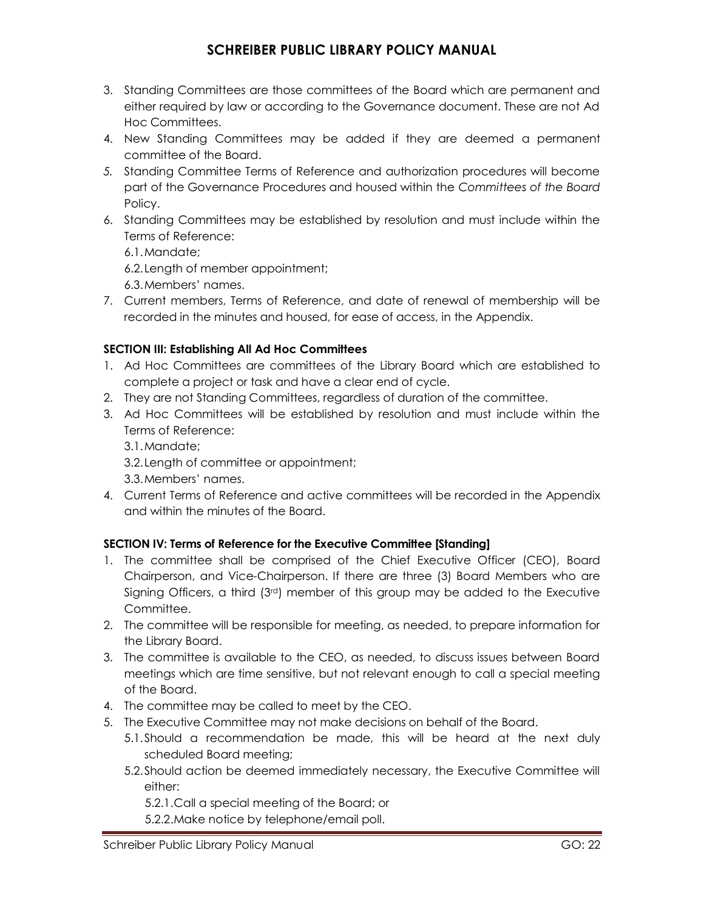- 3. Standing Committees are those committees of the Board which are permanent and either required by law or according to the Governance document. These are not Ad Hoc Committees.
- 4. New Standing Committees may be added if they are deemed a permanent committee of the Board.
- *5.* Standing Committee Terms of Reference and authorization procedures will become part of the Governance Procedures and housed within the *Committees of the Board*  Policy.
- 6. Standing Committees may be established by resolution and must include within the Terms of Reference:

6.1.Mandate;

6.2.Length of member appointment;

6.3.Members' names.

7. Current members, Terms of Reference, and date of renewal of membership will be recorded in the minutes and housed, for ease of access, in the Appendix.

### **SECTION III: Establishing All Ad Hoc Committees**

- 1. Ad Hoc Committees are committees of the Library Board which are established to complete a project or task and have a clear end of cycle.
- 2. They are not Standing Committees, regardless of duration of the committee.
- 3. Ad Hoc Committees will be established by resolution and must include within the Terms of Reference:

3.1.Mandate;

3.2.Length of committee or appointment;

3.3.Members' names.

4. Current Terms of Reference and active committees will be recorded in the Appendix and within the minutes of the Board.

### **SECTION IV: Terms of Reference for the Executive Committee [Standing]**

- 1. The committee shall be comprised of the Chief Executive Officer (CEO), Board Chairperson, and Vice-Chairperson. If there are three (3) Board Members who are Signing Officers, a third  $(3<sup>rd</sup>)$  member of this group may be added to the Executive Committee.
- 2. The committee will be responsible for meeting, as needed, to prepare information for the Library Board.
- 3. The committee is available to the CEO, as needed, to discuss issues between Board meetings which are time sensitive, but not relevant enough to call a special meeting of the Board.
- 4. The committee may be called to meet by the CEO.
- 5. The Executive Committee may not make decisions on behalf of the Board.
	- 5.1.Should a recommendation be made, this will be heard at the next duly scheduled Board meeting;
	- 5.2.Should action be deemed immediately necessary, the Executive Committee will either:

5.2.1.Call a special meeting of the Board; or

5.2.2.Make notice by telephone/email poll.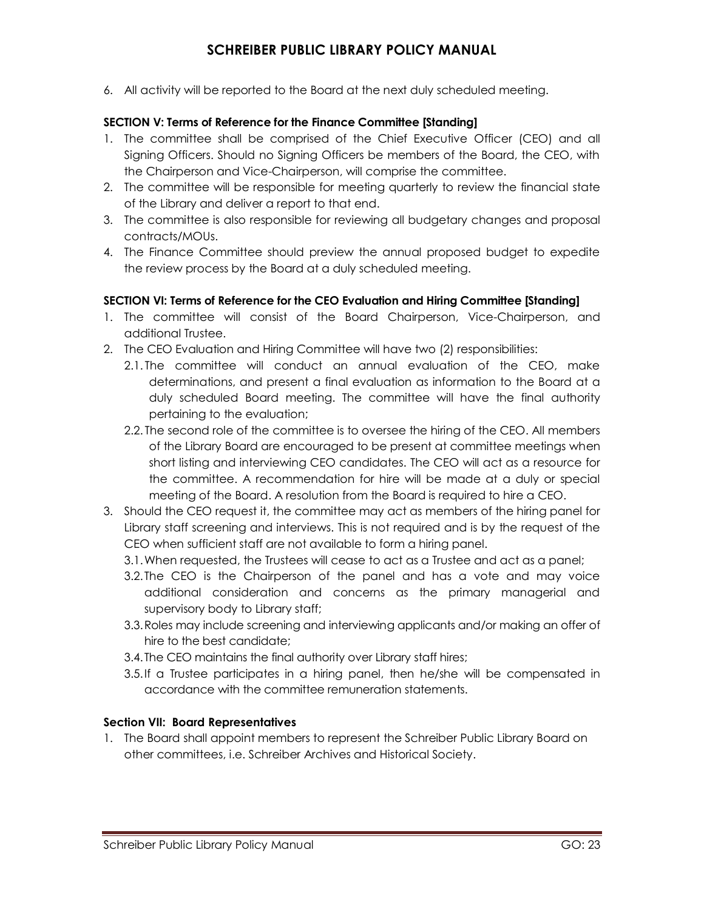6. All activity will be reported to the Board at the next duly scheduled meeting.

#### **SECTION V: Terms of Reference for the Finance Committee [Standing]**

- 1. The committee shall be comprised of the Chief Executive Officer (CEO) and all Signing Officers. Should no Signing Officers be members of the Board, the CEO, with the Chairperson and Vice-Chairperson, will comprise the committee.
- 2. The committee will be responsible for meeting quarterly to review the financial state of the Library and deliver a report to that end.
- 3. The committee is also responsible for reviewing all budgetary changes and proposal contracts/MOUs.
- 4. The Finance Committee should preview the annual proposed budget to expedite the review process by the Board at a duly scheduled meeting.

#### **SECTION VI: Terms of Reference for the CEO Evaluation and Hiring Committee [Standing]**

- 1. The committee will consist of the Board Chairperson, Vice-Chairperson, and additional Trustee.
- 2. The CEO Evaluation and Hiring Committee will have two (2) responsibilities:
	- 2.1. The committee will conduct an annual evaluation of the CEO, make determinations, and present a final evaluation as information to the Board at a duly scheduled Board meeting. The committee will have the final authority pertaining to the evaluation;
	- 2.2. The second role of the committee is to oversee the hiring of the CEO. All members of the Library Board are encouraged to be present at committee meetings when short listing and interviewing CEO candidates. The CEO will act as a resource for the committee. A recommendation for hire will be made at a duly or special meeting of the Board. A resolution from the Board is required to hire a CEO.
- 3. Should the CEO request it, the committee may act as members of the hiring panel for Library staff screening and interviews. This is not required and is by the request of the CEO when sufficient staff are not available to form a hiring panel.
	- 3.1.When requested, the Trustees will cease to act as a Trustee and act as a panel;
	- 3.2.The CEO is the Chairperson of the panel and has a vote and may voice additional consideration and concerns as the primary managerial and supervisory body to Library staff;
	- 3.3.Roles may include screening and interviewing applicants and/or making an offer of hire to the best candidate;
	- 3.4.The CEO maintains the final authority over Library staff hires;
	- 3.5.If a Trustee participates in a hiring panel, then he/she will be compensated in accordance with the committee remuneration statements.

### **Section VII: Board Representatives**

1. The Board shall appoint members to represent the Schreiber Public Library Board on other committees, i.e. Schreiber Archives and Historical Society.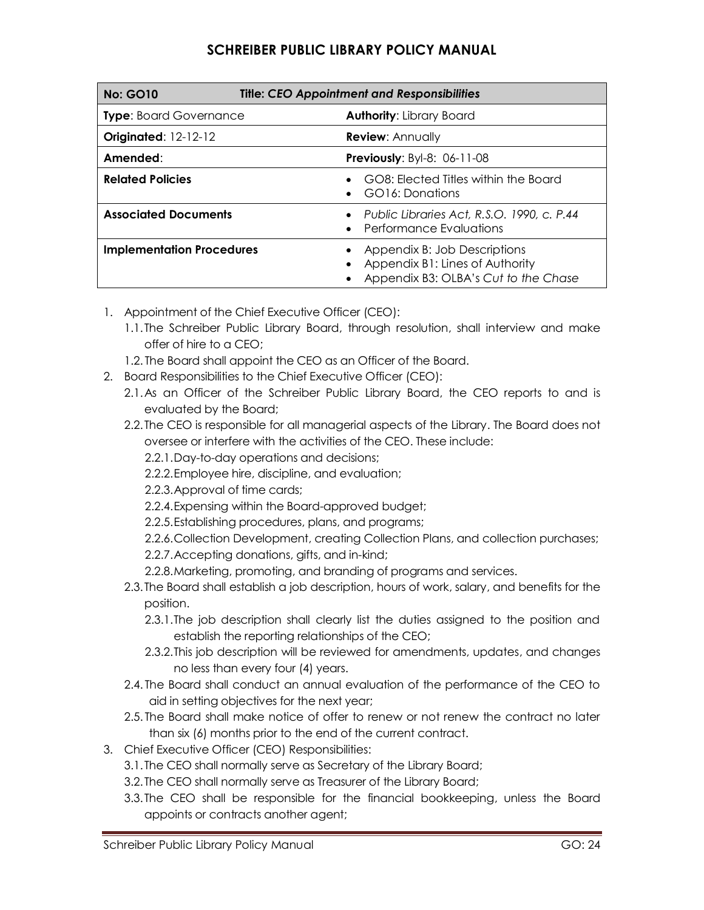| <b>Title: CEO Appointment and Responsibilities</b><br><b>No: GO10</b> |                                                                                                         |
|-----------------------------------------------------------------------|---------------------------------------------------------------------------------------------------------|
| <b>Type: Board Governance</b>                                         | <b>Authority: Library Board</b>                                                                         |
| <b>Originated: 12-12-12</b>                                           | <b>Review: Annually</b>                                                                                 |
| Amended:                                                              | <b>Previously: Byl-8: 06-11-08</b>                                                                      |
| <b>Related Policies</b>                                               | GO8: Elected Titles within the Board<br>GO16: Donations                                                 |
| <b>Associated Documents</b>                                           | • Public Libraries Act, R.S.O. 1990, c. P.44<br>• Performance Evaluations                               |
| <b>Implementation Procedures</b>                                      | Appendix B: Job Descriptions<br>Appendix B1: Lines of Authority<br>Appendix B3: OLBA's Cut to the Chase |

- 1. Appointment of the Chief Executive Officer (CEO):
	- 1.1.The Schreiber Public Library Board, through resolution, shall interview and make offer of hire to a CEO;
	- 1.2. The Board shall appoint the CEO as an Officer of the Board.
- 2. Board Responsibilities to the Chief Executive Officer (CEO):
	- 2.1.As an Officer of the Schreiber Public Library Board, the CEO reports to and is evaluated by the Board;
	- 2.2.The CEO is responsible for all managerial aspects of the Library. The Board does not oversee or interfere with the activities of the CEO. These include:
		- 2.2.1.Day-to-day operations and decisions;
		- 2.2.2.Employee hire, discipline, and evaluation;
		- 2.2.3.Approval of time cards;
		- 2.2.4.Expensing within the Board-approved budget;
		- 2.2.5.Establishing procedures, plans, and programs;
		- 2.2.6.Collection Development, creating Collection Plans, and collection purchases;
		- 2.2.7.Accepting donations, gifts, and in-kind;
		- 2.2.8.Marketing, promoting, and branding of programs and services.
	- 2.3.The Board shall establish a job description, hours of work, salary, and benefits for the position.
		- 2.3.1.The job description shall clearly list the duties assigned to the position and establish the reporting relationships of the CEO;
		- 2.3.2.This job description will be reviewed for amendments, updates, and changes no less than every four (4) years.
	- 2.4. The Board shall conduct an annual evaluation of the performance of the CEO to aid in setting objectives for the next year;
	- 2.5. The Board shall make notice of offer to renew or not renew the contract no later than six (6) months prior to the end of the current contract.
- 3. Chief Executive Officer (CEO) Responsibilities:
	- 3.1.The CEO shall normally serve as Secretary of the Library Board;
	- 3.2.The CEO shall normally serve as Treasurer of the Library Board;
	- 3.3.The CEO shall be responsible for the financial bookkeeping, unless the Board appoints or contracts another agent;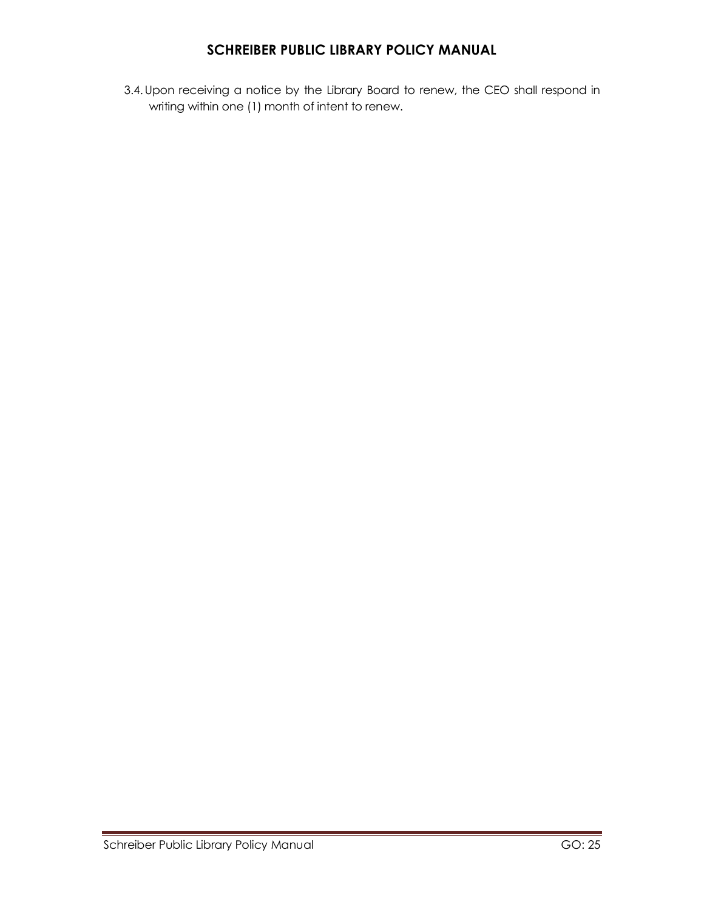3.4.Upon receiving a notice by the Library Board to renew, the CEO shall respond in writing within one (1) month of intent to renew.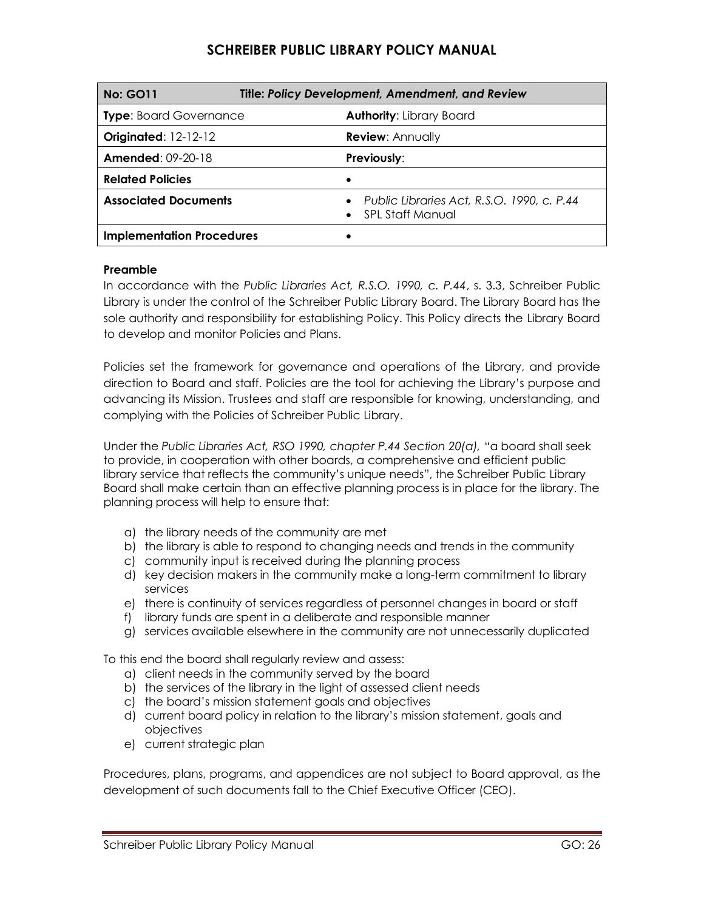| <b>Title: Policy Development, Amendment, and Review</b><br><b>No: GO11</b> |                                                                  |
|----------------------------------------------------------------------------|------------------------------------------------------------------|
| <b>Type: Board Governance</b>                                              | <b>Authority: Library Board</b>                                  |
| <b>Originated: 12-12-12</b>                                                | <b>Review: Annually</b>                                          |
| <b>Amended: 09-20-18</b>                                                   | Previously:                                                      |
| <b>Related Policies</b>                                                    |                                                                  |
| <b>Associated Documents</b>                                                | Public Libraries Act, R.S.O. 1990, c. P.44<br>- SPL Staff Manual |
| <b>Implementation Procedures</b>                                           |                                                                  |

#### **Preamble**

In accordance with the *Public Libraries Act, R.S.O. 1990, c. P.44*, s. 3.3, Schreiber Public Library is under the control of the Schreiber Public Library Board. The Library Board has the sole authority and responsibility for establishing Policy. This Policy directs the Library Board to develop and monitor Policies and Plans.

Policies set the framework for governance and operations of the Library, and provide direction to Board and staff. Policies are the tool for achieving the Library's purpose and advancing its Mission. Trustees and staff are responsible for knowing, understanding, and complying with the Policies of Schreiber Public Library.

Under the *Public Libraries Act, RSO 1990, chapter P.44 Section 20(a),* "a board shall seek to provide, in cooperation with other boards, a comprehensive and efficient public library service that reflects the community's unique needs", the Schreiber Public Library Board shall make certain than an effective planning process is in place for the library. The planning process will help to ensure that:

- a) the library needs of the community are met
- b) the library is able to respond to changing needs and trends in the community
- c) community input is received during the planning process
- d) key decision makers in the community make a long-term commitment to library services
- e) there is continuity of services regardless of personnel changes in board or staff
- f) library funds are spent in a deliberate and responsible manner
- g) services available elsewhere in the community are not unnecessarily duplicated

To this end the board shall regularly review and assess:

- a) client needs in the community served by the board
- b) the services of the library in the light of assessed client needs
- c) the board's mission statement goals and objectives
- d) current board policy in relation to the library's mission statement, goals and objectives
- e) current strategic plan

Procedures, plans, programs, and appendices are not subject to Board approval, as the development of such documents fall to the Chief Executive Officer (CEO).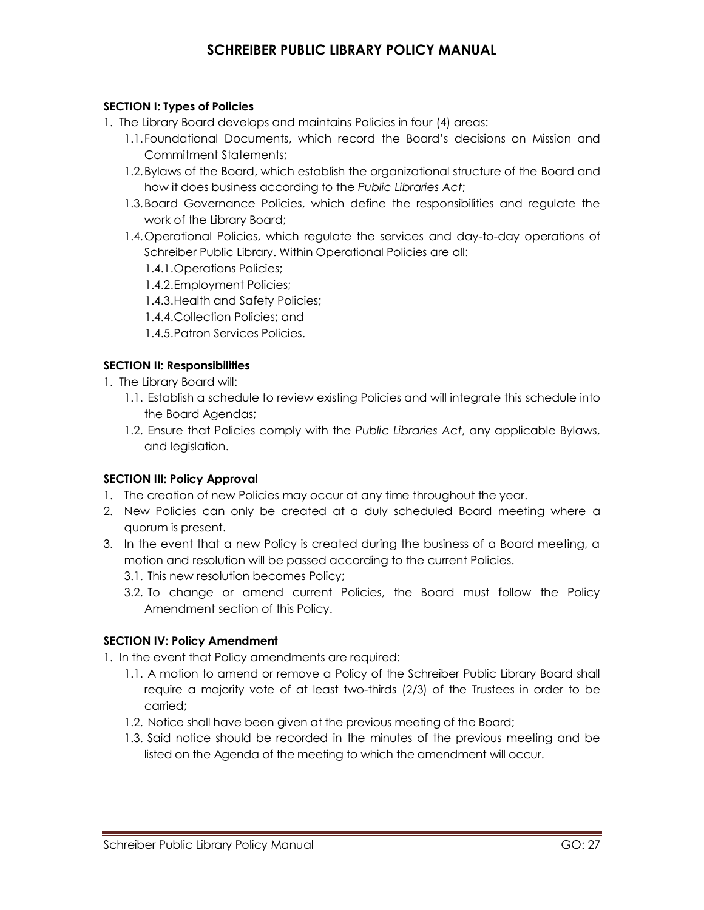#### **SECTION I: Types of Policies**

- 1. The Library Board develops and maintains Policies in four (4) areas:
	- 1.1.Foundational Documents, which record the Board's decisions on Mission and Commitment Statements;
	- 1.2.Bylaws of the Board, which establish the organizational structure of the Board and how it does business according to the *Public Libraries Act*;
	- 1.3.Board Governance Policies, which define the responsibilities and regulate the work of the Library Board;
	- 1.4.Operational Policies, which regulate the services and day-to-day operations of Schreiber Public Library. Within Operational Policies are all:
		- 1.4.1.Operations Policies;
		- 1.4.2.Employment Policies;
		- 1.4.3.Health and Safety Policies;
		- 1.4.4.Collection Policies; and
		- 1.4.5.Patron Services Policies.

### **SECTION II: Responsibilities**

1. The Library Board will:

- 1.1. Establish a schedule to review existing Policies and will integrate this schedule into the Board Agendas;
- 1.2. Ensure that Policies comply with the *Public Libraries Act*, any applicable Bylaws, and legislation.

### **SECTION III: Policy Approval**

- 1. The creation of new Policies may occur at any time throughout the year.
- 2. New Policies can only be created at a duly scheduled Board meeting where a quorum is present.
- 3. In the event that a new Policy is created during the business of a Board meeting, a motion and resolution will be passed according to the current Policies.
	- 3.1. This new resolution becomes Policy;
	- 3.2. To change or amend current Policies, the Board must follow the Policy Amendment section of this Policy.

### **SECTION IV: Policy Amendment**

- 1. In the event that Policy amendments are required:
	- 1.1. A motion to amend or remove a Policy of the Schreiber Public Library Board shall require a majority vote of at least two-thirds (2/3) of the Trustees in order to be carried;
	- 1.2. Notice shall have been given at the previous meeting of the Board;
	- 1.3. Said notice should be recorded in the minutes of the previous meeting and be listed on the Agenda of the meeting to which the amendment will occur.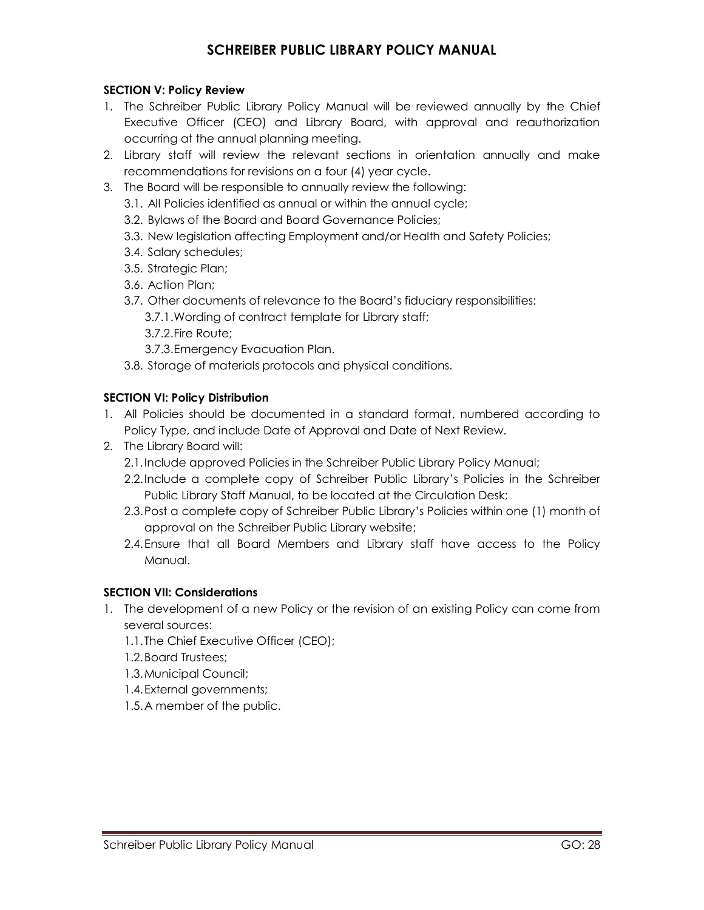### **SECTION V: Policy Review**

- 1. The Schreiber Public Library Policy Manual will be reviewed annually by the Chief Executive Officer (CEO) and Library Board, with approval and reauthorization occurring at the annual planning meeting.
- 2. Library staff will review the relevant sections in orientation annually and make recommendations for revisions on a four (4) year cycle.
- 3. The Board will be responsible to annually review the following:
	- 3.1. All Policies identified as annual or within the annual cycle;
	- 3.2. Bylaws of the Board and Board Governance Policies;
	- 3.3. New legislation affecting Employment and/or Health and Safety Policies;
	- 3.4. Salary schedules;
	- 3.5. Strategic Plan;
	- 3.6. Action Plan;
	- 3.7. Other documents of relevance to the Board's fiduciary responsibilities:
		- 3.7.1.Wording of contract template for Library staff;
		- 3.7.2.Fire Route;
		- 3.7.3.Emergency Evacuation Plan.
	- 3.8. Storage of materials protocols and physical conditions.

### **SECTION VI: Policy Distribution**

- 1. All Policies should be documented in a standard format, numbered according to Policy Type, and include Date of Approval and Date of Next Review.
- 2. The Library Board will:
	- 2.1.Include approved Policies in the Schreiber Public Library Policy Manual;
	- 2.2.Include a complete copy of Schreiber Public Library's Policies in the Schreiber Public Library Staff Manual, to be located at the Circulation Desk;
	- 2.3.Post a complete copy of Schreiber Public Library's Policies within one (1) month of approval on the Schreiber Public Library website;
	- 2.4.Ensure that all Board Members and Library staff have access to the Policy Manual.

### **SECTION VII: Considerations**

- 1. The development of a new Policy or the revision of an existing Policy can come from several sources:
	- 1.1.The Chief Executive Officer (CEO);
	- 1.2.Board Trustees;
	- 1.3.Municipal Council;
	- 1.4.External governments;
	- 1.5.A member of the public.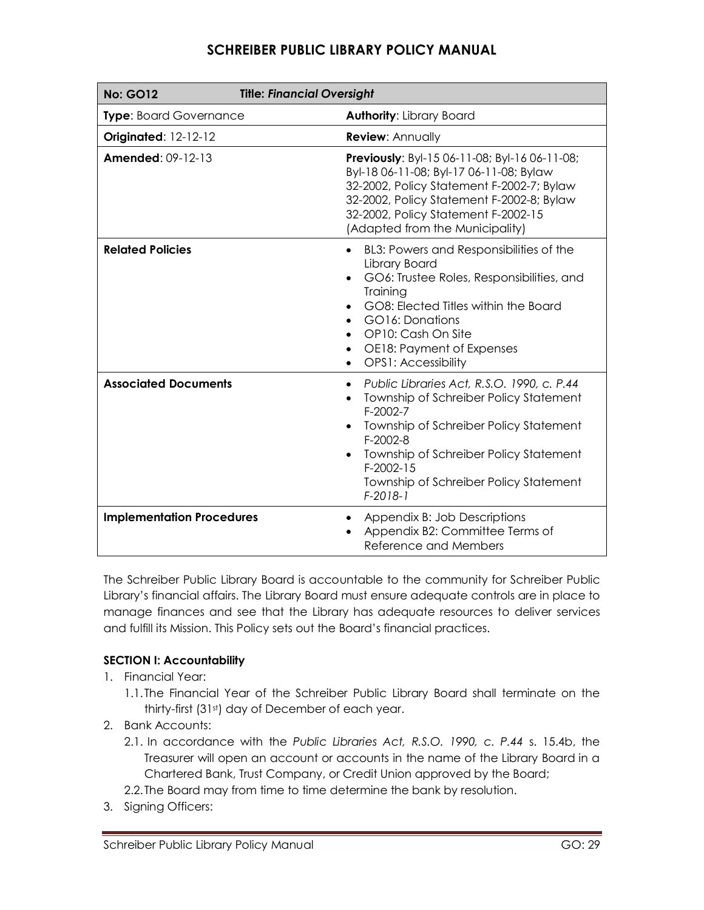| <b>Title: Financial Oversight</b><br><b>No: GO12</b> |                                                                                                                                                                                                                                                                                                                        |
|------------------------------------------------------|------------------------------------------------------------------------------------------------------------------------------------------------------------------------------------------------------------------------------------------------------------------------------------------------------------------------|
| <b>Type: Board Governance</b>                        | <b>Authority: Library Board</b>                                                                                                                                                                                                                                                                                        |
| <b>Originated: 12-12-12</b>                          | <b>Review: Annually</b>                                                                                                                                                                                                                                                                                                |
| <b>Amended: 09-12-13</b>                             | Previously: Byl-15 06-11-08; Byl-16 06-11-08;<br>Byl-18 06-11-08; Byl-17 06-11-08; Bylaw<br>32-2002, Policy Statement F-2002-7; Bylaw<br>32-2002, Policy Statement F-2002-8; Bylaw<br>32-2002, Policy Statement F-2002-15<br>(Adapted from the Municipality)                                                           |
| <b>Related Policies</b>                              | BL3: Powers and Responsibilities of the<br>$\bullet$<br>Library Board<br>GO6: Trustee Roles, Responsibilities, and<br>Training<br>GO8: Elected Titles within the Board<br>GO16: Donations<br>$\bullet$<br>OP10: Cash On Site<br>$\bullet$<br>OE18: Payment of Expenses<br>٠<br><b>OPS1: Accessibility</b><br>$\bullet$ |
| <b>Associated Documents</b>                          | Public Libraries Act, R.S.O. 1990, c. P.44<br>$\bullet$<br>Township of Schreiber Policy Statement<br>$F-2002-7$<br>Township of Schreiber Policy Statement<br>F-2002-8<br>Township of Schreiber Policy Statement<br>$F-2002-15$<br>Township of Schreiber Policy Statement<br>$F-2018-1$                                 |
| <b>Implementation Procedures</b>                     | Appendix B: Job Descriptions<br>Appendix B2: Committee Terms of<br>Reference and Members                                                                                                                                                                                                                               |

The Schreiber Public Library Board is accountable to the community for Schreiber Public Library's financial affairs. The Library Board must ensure adequate controls are in place to manage finances and see that the Library has adequate resources to deliver services and fulfill its Mission. This Policy sets out the Board's financial practices.

### **SECTION I: Accountability**

- 1. Financial Year:
	- 1.1.The Financial Year of the Schreiber Public Library Board shall terminate on the thirty-first (31st) day of December of each year.
- 2. Bank Accounts:
	- 2.1. In accordance with the *Public Libraries Act, R.S.O. 1990, c. P.44* s. 15.4b, the Treasurer will open an account or accounts in the name of the Library Board in a Chartered Bank, Trust Company, or Credit Union approved by the Board;
	- 2.2.The Board may from time to time determine the bank by resolution.
- 3. Signing Officers: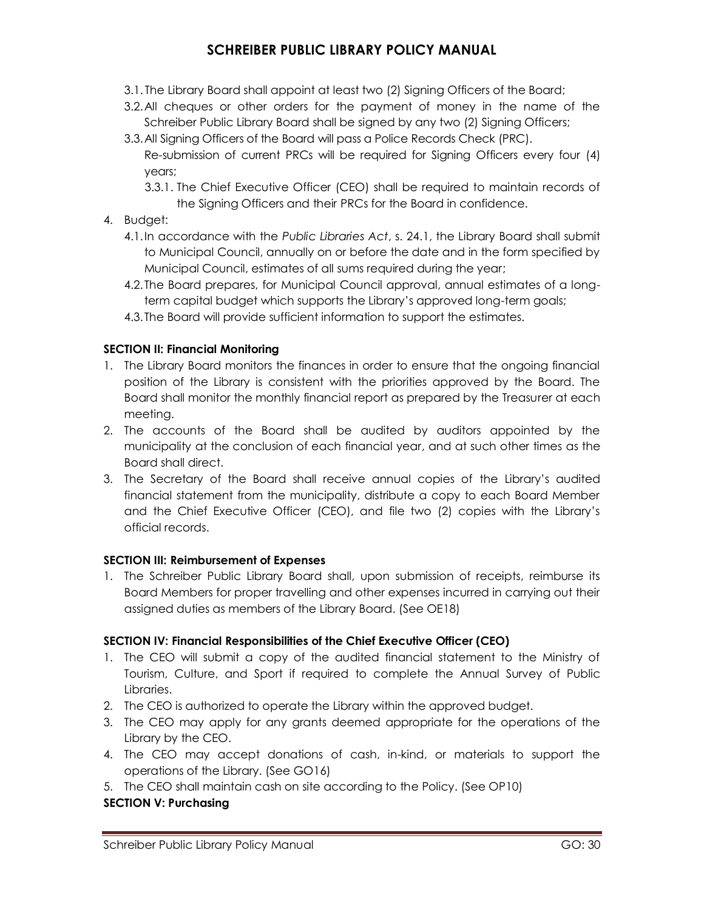- 3.1. The Library Board shall appoint at least two (2) Signing Officers of the Board;
- 3.2.All cheques or other orders for the payment of money in the name of the Schreiber Public Library Board shall be signed by any two (2) Signing Officers;
- 3.3.All Signing Officers of the Board will pass a Police Records Check (PRC). Re-submission of current PRCs will be required for Signing Officers every four (4) years;
	- 3.3.1. The Chief Executive Officer (CEO) shall be required to maintain records of the Signing Officers and their PRCs for the Board in confidence.
- 4. Budget:
	- 4.1.In accordance with the *Public Libraries Act*, s. 24.1, the Library Board shall submit to Municipal Council, annually on or before the date and in the form specified by Municipal Council, estimates of all sums required during the year;
	- 4.2.The Board prepares, for Municipal Council approval, annual estimates of a longterm capital budget which supports the Library's approved long-term goals;
	- 4.3.The Board will provide sufficient information to support the estimates.

### **SECTION II: Financial Monitoring**

- 1. The Library Board monitors the finances in order to ensure that the ongoing financial position of the Library is consistent with the priorities approved by the Board. The Board shall monitor the monthly financial report as prepared by the Treasurer at each meeting.
- 2. The accounts of the Board shall be audited by auditors appointed by the municipality at the conclusion of each financial year, and at such other times as the Board shall direct.
- 3. The Secretary of the Board shall receive annual copies of the Library's audited financial statement from the municipality, distribute a copy to each Board Member and the Chief Executive Officer (CEO), and file two (2) copies with the Library's official records.

### **SECTION III: Reimbursement of Expenses**

1. The Schreiber Public Library Board shall, upon submission of receipts, reimburse its Board Members for proper travelling and other expenses incurred in carrying out their assigned duties as members of the Library Board. (See OE18)

### **SECTION IV: Financial Responsibilities of the Chief Executive Officer (CEO)**

- 1. The CEO will submit a copy of the audited financial statement to the Ministry of Tourism, Culture, and Sport if required to complete the Annual Survey of Public Libraries.
- 2. The CEO is authorized to operate the Library within the approved budget.
- 3. The CEO may apply for any grants deemed appropriate for the operations of the Library by the CEO.
- 4. The CEO may accept donations of cash, in-kind, or materials to support the operations of the Library. (See GO16)
- 5. The CEO shall maintain cash on site according to the Policy. (See OP10)

### **SECTION V: Purchasing**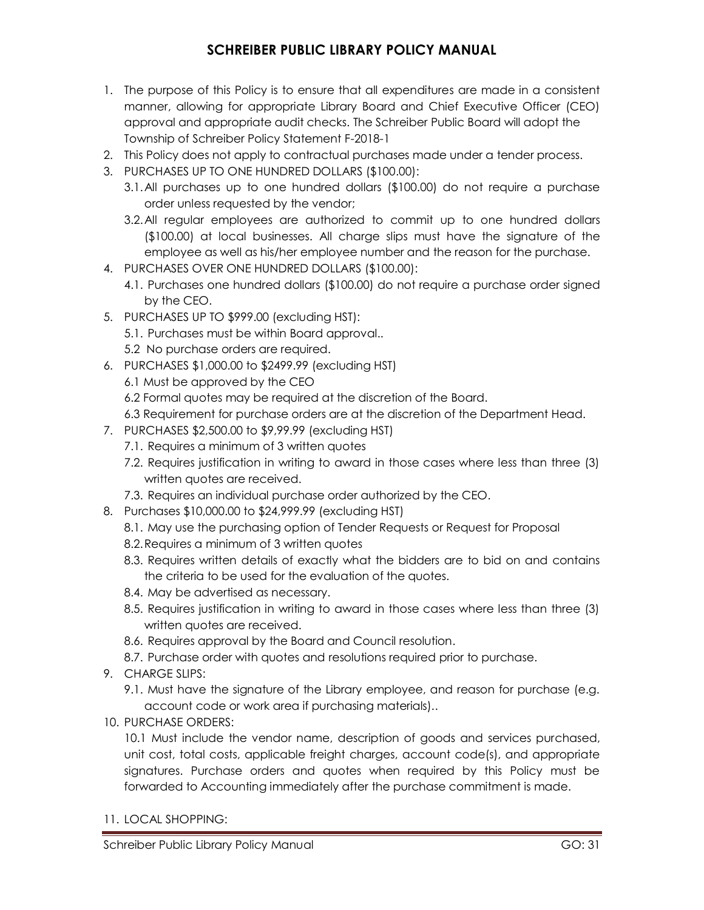- 1. The purpose of this Policy is to ensure that all expenditures are made in a consistent manner, allowing for appropriate Library Board and Chief Executive Officer (CEO) approval and appropriate audit checks. The Schreiber Public Board will adopt the Township of Schreiber Policy Statement F-2018-1
- 2. This Policy does not apply to contractual purchases made under a tender process.
- 3. PURCHASES UP TO ONE HUNDRED DOLLARS (\$100.00):
	- 3.1.All purchases up to one hundred dollars (\$100.00) do not require a purchase order unless requested by the vendor;
	- 3.2.All regular employees are authorized to commit up to one hundred dollars (\$100.00) at local businesses. All charge slips must have the signature of the employee as well as his/her employee number and the reason for the purchase.
- 4. PURCHASES OVER ONE HUNDRED DOLLARS (\$100.00):
	- 4.1. Purchases one hundred dollars (\$100.00) do not require a purchase order signed by the CEO.
- 5. PURCHASES UP TO \$999.00 (excluding HST):
	- 5.1. Purchases must be within Board approval..
	- 5.2 No purchase orders are required.
- 6. PURCHASES \$1,000.00 to \$2499.99 (excluding HST)
	- 6.1 Must be approved by the CEO
	- 6.2 Formal quotes may be required at the discretion of the Board.
	- 6.3 Requirement for purchase orders are at the discretion of the Department Head.
- 7. PURCHASES \$2,500.00 to \$9,99.99 (excluding HST)
	- 7.1. Requires a minimum of 3 written quotes
	- 7.2. Requires justification in writing to award in those cases where less than three (3) written quotes are received.
	- 7.3. Requires an individual purchase order authorized by the CEO.
- 8. Purchases \$10,000.00 to \$24,999.99 (excluding HST)
	- 8.1. May use the purchasing option of Tender Requests or Request for Proposal
	- 8.2.Requires a minimum of 3 written quotes
	- 8.3. Requires written details of exactly what the bidders are to bid on and contains the criteria to be used for the evaluation of the quotes.
	- 8.4. May be advertised as necessary.
	- 8.5. Requires justification in writing to award in those cases where less than three (3) written quotes are received.
	- 8.6. Requires approval by the Board and Council resolution.
	- 8.7. Purchase order with quotes and resolutions required prior to purchase.
- 9. CHARGE SLIPS:
	- 9.1. Must have the signature of the Library employee, and reason for purchase (e.g. account code or work area if purchasing materials)..
- 10. PURCHASE ORDERS:

10.1 Must include the vendor name, description of goods and services purchased, unit cost, total costs, applicable freight charges, account code(s), and appropriate signatures. Purchase orders and quotes when required by this Policy must be forwarded to Accounting immediately after the purchase commitment is made.

11. LOCAL SHOPPING: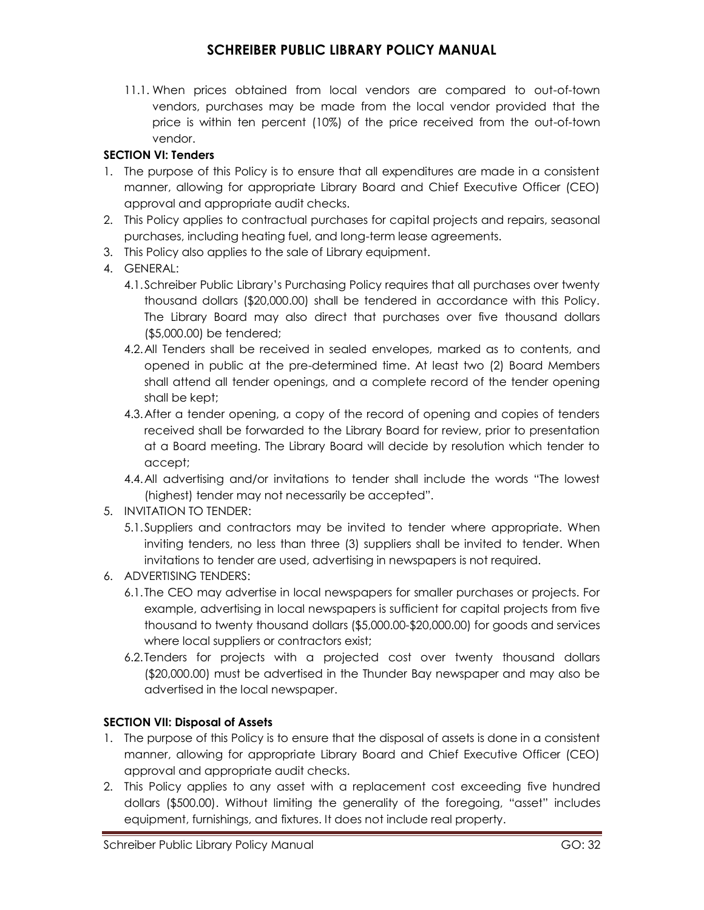11.1. When prices obtained from local vendors are compared to out-of-town vendors, purchases may be made from the local vendor provided that the price is within ten percent (10%) of the price received from the out-of-town vendor.

### **SECTION VI: Tenders**

- 1. The purpose of this Policy is to ensure that all expenditures are made in a consistent manner, allowing for appropriate Library Board and Chief Executive Officer (CEO) approval and appropriate audit checks.
- 2. This Policy applies to contractual purchases for capital projects and repairs, seasonal purchases, including heating fuel, and long-term lease agreements.
- 3. This Policy also applies to the sale of Library equipment.
- 4. GENERAL:
	- 4.1.Schreiber Public Library's Purchasing Policy requires that all purchases over twenty thousand dollars (\$20,000.00) shall be tendered in accordance with this Policy. The Library Board may also direct that purchases over five thousand dollars (\$5,000.00) be tendered;
	- 4.2.All Tenders shall be received in sealed envelopes, marked as to contents, and opened in public at the pre-determined time. At least two (2) Board Members shall attend all tender openings, and a complete record of the tender opening shall be kept;
	- 4.3.After a tender opening, a copy of the record of opening and copies of tenders received shall be forwarded to the Library Board for review, prior to presentation at a Board meeting. The Library Board will decide by resolution which tender to accept;
	- 4.4.All advertising and/or invitations to tender shall include the words "The lowest (highest) tender may not necessarily be accepted".
- 5. INVITATION TO TENDER:
	- 5.1.Suppliers and contractors may be invited to tender where appropriate. When inviting tenders, no less than three (3) suppliers shall be invited to tender. When invitations to tender are used, advertising in newspapers is not required.
- 6. ADVERTISING TENDERS:
	- 6.1.The CEO may advertise in local newspapers for smaller purchases or projects. For example, advertising in local newspapers is sufficient for capital projects from five thousand to twenty thousand dollars (\$5,000.00-\$20,000.00) for goods and services where local suppliers or contractors exist;
	- 6.2.Tenders for projects with a projected cost over twenty thousand dollars (\$20,000.00) must be advertised in the Thunder Bay newspaper and may also be advertised in the local newspaper.

### **SECTION VII: Disposal of Assets**

- 1. The purpose of this Policy is to ensure that the disposal of assets is done in a consistent manner, allowing for appropriate Library Board and Chief Executive Officer (CEO) approval and appropriate audit checks.
- 2. This Policy applies to any asset with a replacement cost exceeding five hundred dollars (\$500.00). Without limiting the generality of the foregoing, "asset" includes equipment, furnishings, and fixtures. It does not include real property.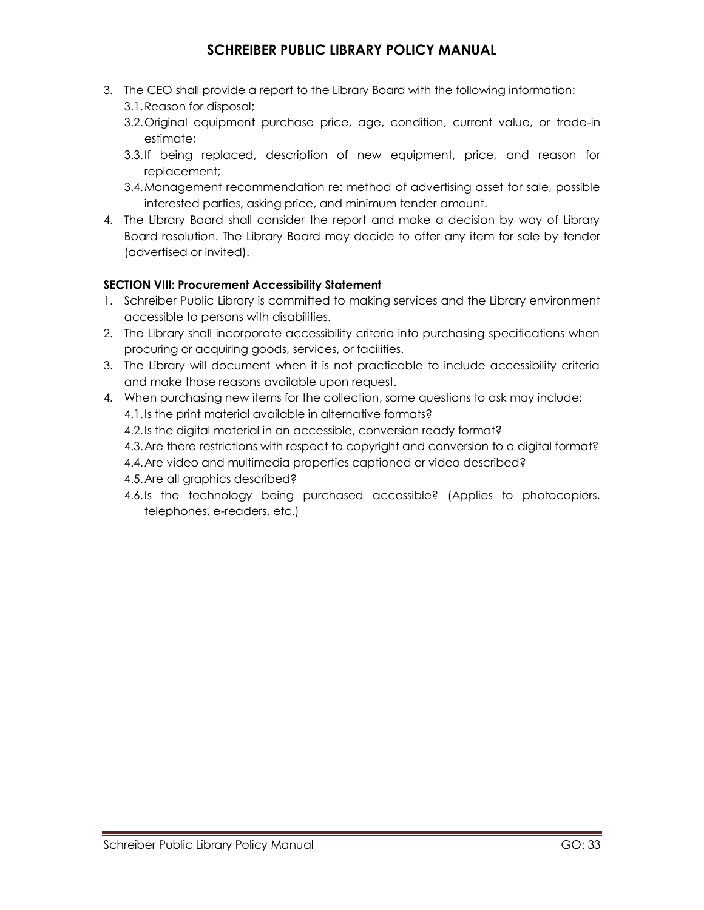- 3. The CEO shall provide a report to the Library Board with the following information: 3.1.Reason for disposal;
	- 3.2.Original equipment purchase price, age, condition, current value, or trade-in estimate;
	- 3.3.If being replaced, description of new equipment, price, and reason for replacement;
	- 3.4.Management recommendation re: method of advertising asset for sale, possible interested parties, asking price, and minimum tender amount.
- 4. The Library Board shall consider the report and make a decision by way of Library Board resolution. The Library Board may decide to offer any item for sale by tender (advertised or invited).

### **SECTION VIII: Procurement Accessibility Statement**

- 1. Schreiber Public Library is committed to making services and the Library environment accessible to persons with disabilities.
- 2. The Library shall incorporate accessibility criteria into purchasing specifications when procuring or acquiring goods, services, or facilities.
- 3. The Library will document when it is not practicable to include accessibility criteria and make those reasons available upon request.
- 4. When purchasing new items for the collection, some questions to ask may include: 4.1.Is the print material available in alternative formats?
	- 4.2.Is the digital material in an accessible, conversion ready format?
	- 4.3.Are there restrictions with respect to copyright and conversion to a digital format?
	- 4.4.Are video and multimedia properties captioned or video described?
	- 4.5.Are all graphics described?
	- 4.6.Is the technology being purchased accessible? (Applies to photocopiers, telephones, e-readers, etc.)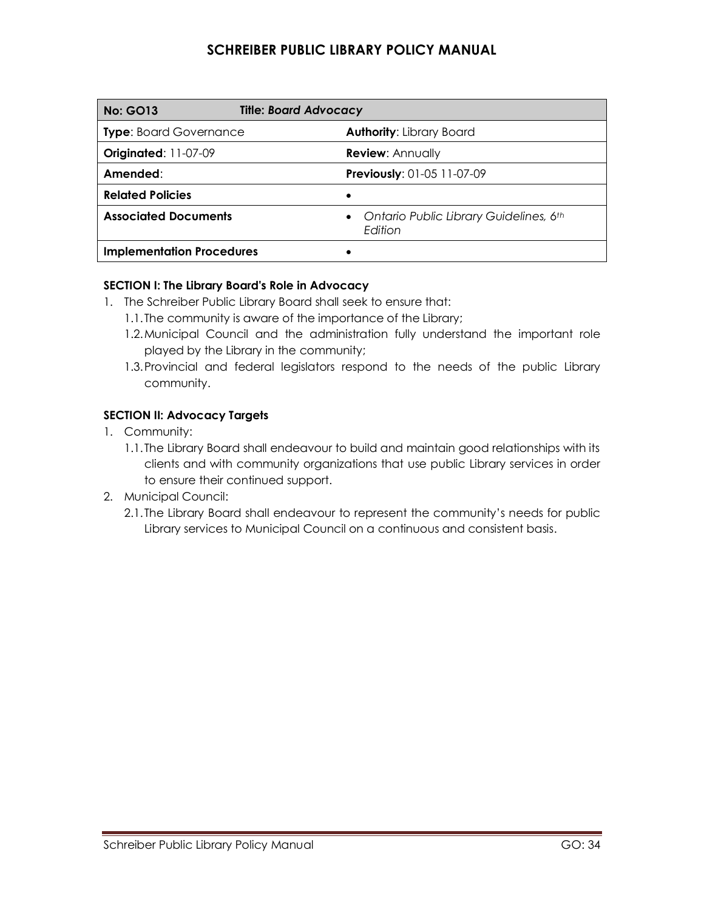| <b>No: GO13</b>                  | <b>Title: Board Advocacy</b>                      |
|----------------------------------|---------------------------------------------------|
| <b>Type:</b> Board Governance    | <b>Authority: Library Board</b>                   |
| Originated: 11-07-09             | <b>Review: Annually</b>                           |
| Amended:                         | Previously: 01-05 11-07-09                        |
| <b>Related Policies</b>          | ٠                                                 |
| <b>Associated Documents</b>      | Ontario Public Library Guidelines, 6th<br>Edition |
| <b>Implementation Procedures</b> |                                                   |

### **SECTION I: The Library Board's Role in Advocacy**

- 1. The Schreiber Public Library Board shall seek to ensure that:
	- 1.1.The community is aware of the importance of the Library;
	- 1.2.Municipal Council and the administration fully understand the important role played by the Library in the community;
	- 1.3.Provincial and federal legislators respond to the needs of the public Library community.

### **SECTION II: Advocacy Targets**

- 1. Community:
	- 1.1.The Library Board shall endeavour to build and maintain good relationships with its clients and with community organizations that use public Library services in order to ensure their continued support.
- 2. Municipal Council:
	- 2.1.The Library Board shall endeavour to represent the community's needs for public Library services to Municipal Council on a continuous and consistent basis.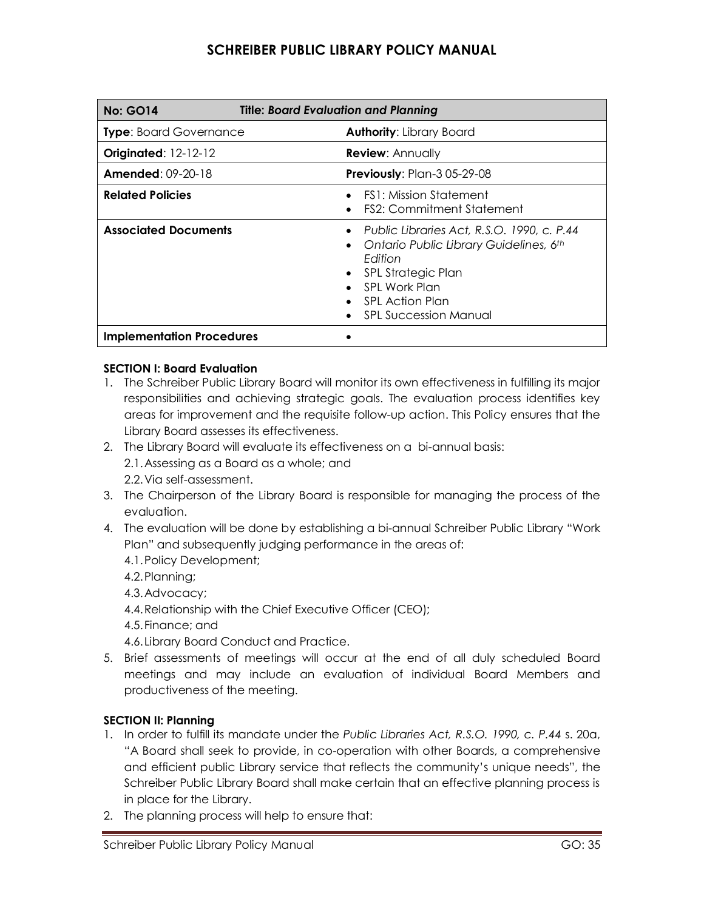| <b>Title: Board Evaluation and Planning</b><br><b>No: GO14</b> |                                                                                                                                                                                                                 |
|----------------------------------------------------------------|-----------------------------------------------------------------------------------------------------------------------------------------------------------------------------------------------------------------|
| <b>Type:</b> Board Governance                                  | <b>Authority: Library Board</b>                                                                                                                                                                                 |
| <b>Originated: 12-12-12</b>                                    | <b>Review: Annually</b>                                                                                                                                                                                         |
| <b>Amended: 09-20-18</b>                                       | <b>Previously:</b> Plan-3 05-29-08                                                                                                                                                                              |
| <b>Related Policies</b>                                        | FS1: Mission Statement<br><b>FS2: Commitment Statement</b>                                                                                                                                                      |
| <b>Associated Documents</b>                                    | Public Libraries Act, R.S.O. 1990, c. P.44<br>Ontario Public Library Guidelines, 6th<br>Edition<br>SPL Strategic Plan<br>$\bullet$<br>- SPL Work Plan<br><b>SPL Action Plan</b><br><b>SPL Succession Manual</b> |
| <b>Implementation Procedures</b>                               |                                                                                                                                                                                                                 |

### **SECTION I: Board Evaluation**

- 1. The Schreiber Public Library Board will monitor its own effectiveness in fulfilling its major responsibilities and achieving strategic goals. The evaluation process identifies key areas for improvement and the requisite follow-up action. This Policy ensures that the Library Board assesses its effectiveness.
- 2. The Library Board will evaluate its effectiveness on a bi-annual basis: 2.1.Assessing as a Board as a whole; and 2.2.Via self-assessment.
- 3. The Chairperson of the Library Board is responsible for managing the process of the evaluation.
- 4. The evaluation will be done by establishing a bi-annual Schreiber Public Library "Work Plan" and subsequently judging performance in the areas of:
	- 4.1.Policy Development;
	- 4.2.Planning;
	- 4.3.Advocacy;
	- 4.4.Relationship with the Chief Executive Officer (CEO);
	- 4.5.Finance; and
	- 4.6.Library Board Conduct and Practice.
- 5. Brief assessments of meetings will occur at the end of all duly scheduled Board meetings and may include an evaluation of individual Board Members and productiveness of the meeting.

### **SECTION II: Planning**

- 1. In order to fulfill its mandate under the *Public Libraries Act, R.S.O. 1990, c. P.44* s. 20a, "A Board shall seek to provide, in co-operation with other Boards, a comprehensive and efficient public Library service that reflects the community's unique needs", the Schreiber Public Library Board shall make certain that an effective planning process is in place for the Library.
- 2. The planning process will help to ensure that: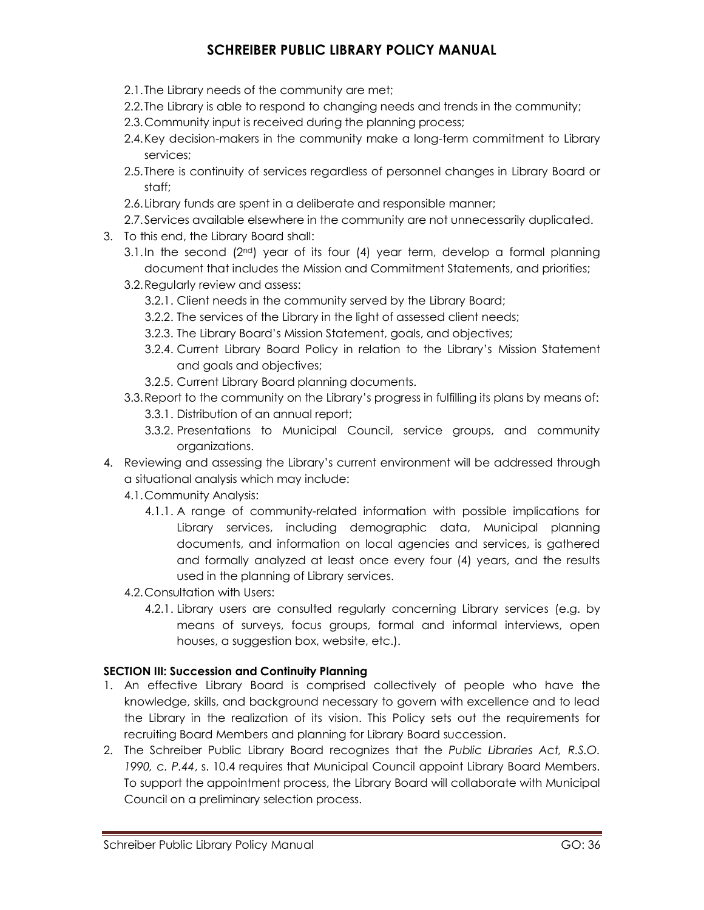- 2.1.The Library needs of the community are met;
- 2.2.The Library is able to respond to changing needs and trends in the community;
- 2.3.Community input is received during the planning process;
- 2.4.Key decision-makers in the community make a long-term commitment to Library services;
- 2.5.There is continuity of services regardless of personnel changes in Library Board or staff;
- 2.6.Library funds are spent in a deliberate and responsible manner;
- 2.7.Services available elsewhere in the community are not unnecessarily duplicated.
- 3. To this end, the Library Board shall:
	- 3.1.In the second  $(2^{nd})$  year of its four  $(4)$  year term, develop a formal planning document that includes the Mission and Commitment Statements, and priorities;
	- 3.2.Regularly review and assess:
		- 3.2.1. Client needs in the community served by the Library Board;
		- 3.2.2. The services of the Library in the light of assessed client needs;
		- 3.2.3. The Library Board's Mission Statement, goals, and objectives;
		- 3.2.4. Current Library Board Policy in relation to the Library's Mission Statement and goals and objectives;
		- 3.2.5. Current Library Board planning documents.
	- 3.3.Report to the community on the Library's progress in fulfilling its plans by means of:
		- 3.3.1. Distribution of an annual report;
		- 3.3.2. Presentations to Municipal Council, service groups, and community organizations.
- 4. Reviewing and assessing the Library's current environment will be addressed through a situational analysis which may include:
	- 4.1.Community Analysis:
		- 4.1.1. A range of community-related information with possible implications for Library services, including demographic data, Municipal planning documents, and information on local agencies and services, is gathered and formally analyzed at least once every four (4) years, and the results used in the planning of Library services.
	- 4.2.Consultation with Users:
		- 4.2.1. Library users are consulted regularly concerning Library services (e.g. by means of surveys, focus groups, formal and informal interviews, open houses, a suggestion box, website, etc.).

#### **SECTION III: Succession and Continuity Planning**

- 1. An effective Library Board is comprised collectively of people who have the knowledge, skills, and background necessary to govern with excellence and to lead the Library in the realization of its vision. This Policy sets out the requirements for recruiting Board Members and planning for Library Board succession.
- 2. The Schreiber Public Library Board recognizes that the *Public Libraries Act, R.S.O. 1990, c. P.44*, s. 10.4 requires that Municipal Council appoint Library Board Members. To support the appointment process, the Library Board will collaborate with Municipal Council on a preliminary selection process.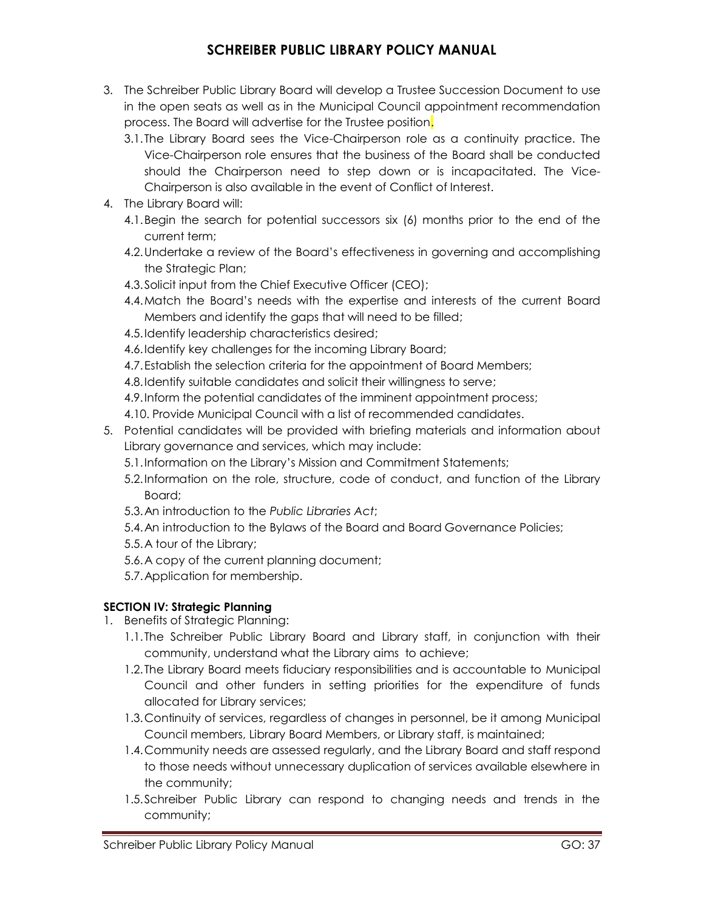- 3. The Schreiber Public Library Board will develop a Trustee Succession Document to use in the open seats as well as in the Municipal Council appointment recommendation process. The Board will advertise for the Trustee position.
	- 3.1.The Library Board sees the Vice-Chairperson role as a continuity practice. The Vice-Chairperson role ensures that the business of the Board shall be conducted should the Chairperson need to step down or is incapacitated. The Vice-Chairperson is also available in the event of Conflict of Interest.
- 4. The Library Board will:
	- 4.1.Begin the search for potential successors six (6) months prior to the end of the current term;
	- 4.2.Undertake a review of the Board's effectiveness in governing and accomplishing the Strategic Plan;
	- 4.3.Solicit input from the Chief Executive Officer (CEO);
	- 4.4.Match the Board's needs with the expertise and interests of the current Board Members and identify the gaps that will need to be filled;
	- 4.5.Identify leadership characteristics desired;
	- 4.6.Identify key challenges for the incoming Library Board;
	- 4.7.Establish the selection criteria for the appointment of Board Members;
	- 4.8.Identify suitable candidates and solicit their willingness to serve;
	- 4.9.Inform the potential candidates of the imminent appointment process;
	- 4.10. Provide Municipal Council with a list of recommended candidates.
- 5. Potential candidates will be provided with briefing materials and information about Library governance and services, which may include:
	- 5.1.Information on the Library's Mission and Commitment Statements;
	- 5.2.Information on the role, structure, code of conduct, and function of the Library Board;
	- 5.3.An introduction to the *Public Libraries Act*;
	- 5.4.An introduction to the Bylaws of the Board and Board Governance Policies;
	- 5.5.A tour of the Library;
	- 5.6.A copy of the current planning document;
	- 5.7.Application for membership.

### **SECTION IV: Strategic Planning**

- 1. Benefits of Strategic Planning:
	- 1.1.The Schreiber Public Library Board and Library staff, in conjunction with their community, understand what the Library aims to achieve;
	- 1.2.The Library Board meets fiduciary responsibilities and is accountable to Municipal Council and other funders in setting priorities for the expenditure of funds allocated for Library services;
	- 1.3.Continuity of services, regardless of changes in personnel, be it among Municipal Council members, Library Board Members, or Library staff, is maintained;
	- 1.4.Community needs are assessed regularly, and the Library Board and staff respond to those needs without unnecessary duplication of services available elsewhere in the community;
	- 1.5.Schreiber Public Library can respond to changing needs and trends in the community;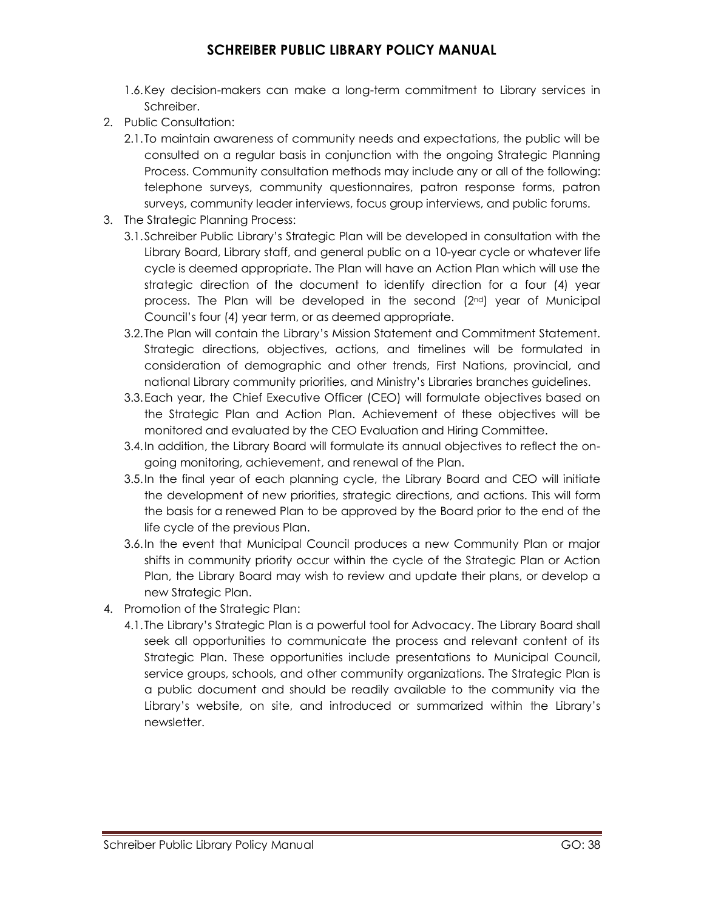- 1.6.Key decision-makers can make a long-term commitment to Library services in Schreiber.
- 2. Public Consultation:
	- 2.1.To maintain awareness of community needs and expectations, the public will be consulted on a regular basis in conjunction with the ongoing Strategic Planning Process. Community consultation methods may include any or all of the following: telephone surveys, community questionnaires, patron response forms, patron surveys, community leader interviews, focus group interviews, and public forums.
- 3. The Strategic Planning Process:
	- 3.1.Schreiber Public Library's Strategic Plan will be developed in consultation with the Library Board, Library staff, and general public on a 10-year cycle or whatever life cycle is deemed appropriate. The Plan will have an Action Plan which will use the strategic direction of the document to identify direction for a four (4) year process. The Plan will be developed in the second (2nd) year of Municipal Council's four (4) year term, or as deemed appropriate.
	- 3.2.The Plan will contain the Library's Mission Statement and Commitment Statement. Strategic directions, objectives, actions, and timelines will be formulated in consideration of demographic and other trends, First Nations, provincial, and national Library community priorities, and Ministry's Libraries branches guidelines.
	- 3.3.Each year, the Chief Executive Officer (CEO) will formulate objectives based on the Strategic Plan and Action Plan. Achievement of these objectives will be monitored and evaluated by the CEO Evaluation and Hiring Committee.
	- 3.4.In addition, the Library Board will formulate its annual objectives to reflect the ongoing monitoring, achievement, and renewal of the Plan.
	- 3.5.In the final year of each planning cycle, the Library Board and CEO will initiate the development of new priorities, strategic directions, and actions. This will form the basis for a renewed Plan to be approved by the Board prior to the end of the life cycle of the previous Plan.
	- 3.6.In the event that Municipal Council produces a new Community Plan or major shifts in community priority occur within the cycle of the Strategic Plan or Action Plan, the Library Board may wish to review and update their plans, or develop a new Strategic Plan.
- 4. Promotion of the Strategic Plan:
	- 4.1.The Library's Strategic Plan is a powerful tool for Advocacy. The Library Board shall seek all opportunities to communicate the process and relevant content of its Strategic Plan. These opportunities include presentations to Municipal Council, service groups, schools, and other community organizations. The Strategic Plan is a public document and should be readily available to the community via the Library's website, on site, and introduced or summarized within the Library's newsletter.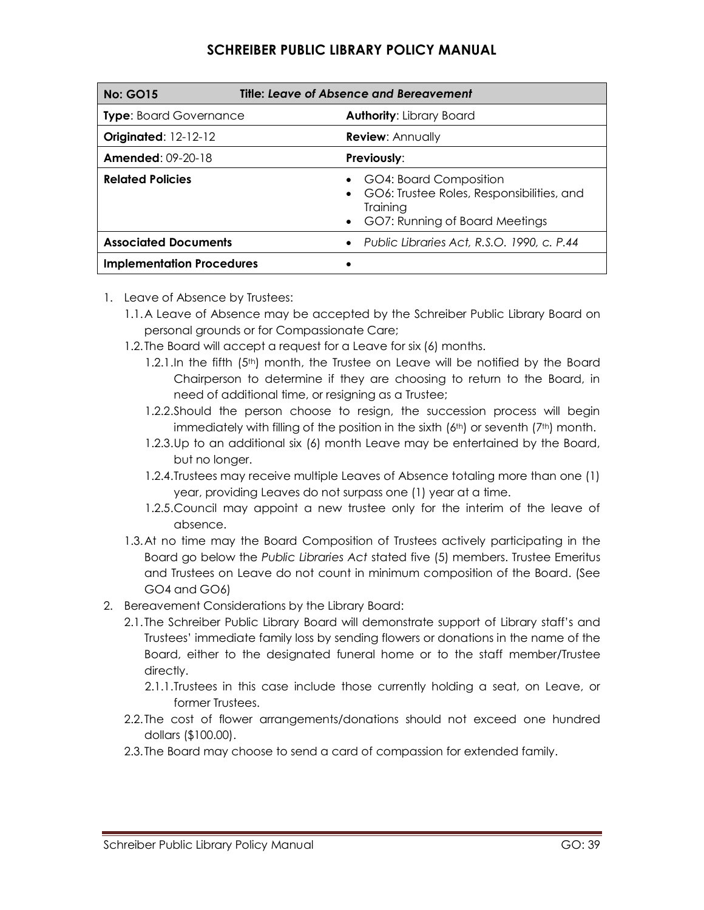| Title: Leave of Absence and Bereavement<br><b>No: GO15</b> |                                                                                                                   |
|------------------------------------------------------------|-------------------------------------------------------------------------------------------------------------------|
| <b>Type: Board Governance</b>                              | <b>Authority: Library Board</b>                                                                                   |
| <b>Originated: 12-12-12</b>                                | <b>Review: Annually</b>                                                                                           |
| <b>Amended: 09-20-18</b>                                   | Previously:                                                                                                       |
| <b>Related Policies</b>                                    | GO4: Board Composition<br>GO6: Trustee Roles, Responsibilities, and<br>Training<br>GO7: Running of Board Meetings |
| <b>Associated Documents</b>                                | Public Libraries Act, R.S.O. 1990, c. P.44                                                                        |
| <b>Implementation Procedures</b>                           |                                                                                                                   |

- 1. Leave of Absence by Trustees:
	- 1.1.A Leave of Absence may be accepted by the Schreiber Public Library Board on personal grounds or for Compassionate Care;
	- 1.2.The Board will accept a request for a Leave for six (6) months.
		- 1.2.1.In the fifth (5<sup>th</sup>) month, the Trustee on Leave will be notified by the Board Chairperson to determine if they are choosing to return to the Board, in need of additional time, or resigning as a Trustee;
		- 1.2.2.Should the person choose to resign, the succession process will begin immediately with filling of the position in the sixth  $(6<sup>th</sup>)$  or seventh  $(7<sup>th</sup>)$  month.
		- 1.2.3.Up to an additional six (6) month Leave may be entertained by the Board, but no longer.
		- 1.2.4.Trustees may receive multiple Leaves of Absence totaling more than one (1) year, providing Leaves do not surpass one (1) year at a time.
		- 1.2.5.Council may appoint a new trustee only for the interim of the leave of absence.
	- 1.3.At no time may the Board Composition of Trustees actively participating in the Board go below the *Public Libraries Act* stated five (5) members. Trustee Emeritus and Trustees on Leave do not count in minimum composition of the Board. (See GO4 and GO6)
- 2. Bereavement Considerations by the Library Board:
	- 2.1.The Schreiber Public Library Board will demonstrate support of Library staff's and Trustees' immediate family loss by sending flowers or donations in the name of the Board, either to the designated funeral home or to the staff member/Trustee directly.
		- 2.1.1.Trustees in this case include those currently holding a seat, on Leave, or former Trustees.
	- 2.2.The cost of flower arrangements/donations should not exceed one hundred dollars (\$100.00).
	- 2.3.The Board may choose to send a card of compassion for extended family.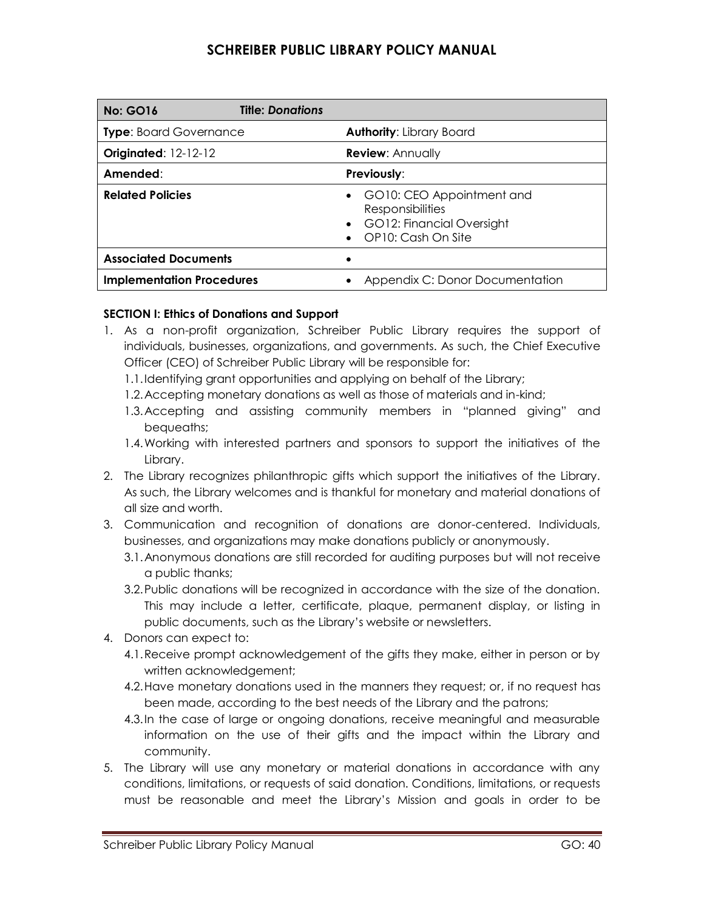| <b>Title: Donations</b><br><b>No: GO16</b> |                                                                                                           |
|--------------------------------------------|-----------------------------------------------------------------------------------------------------------|
| <b>Type:</b> Board Governance              | <b>Authority: Library Board</b>                                                                           |
| <b>Originated: 12-12-12</b>                | <b>Review: Annually</b>                                                                                   |
| Amended:                                   | Previously:                                                                                               |
| <b>Related Policies</b>                    | GO10: CEO Appointment and<br><b>Responsibilities</b><br>• GO12: Financial Oversight<br>OP10: Cash On Site |
| <b>Associated Documents</b>                |                                                                                                           |
| <b>Implementation Procedures</b>           | Appendix C: Donor Documentation                                                                           |

### **SECTION I: Ethics of Donations and Support**

- 1. As a non-profit organization, Schreiber Public Library requires the support of individuals, businesses, organizations, and governments. As such, the Chief Executive Officer (CEO) of Schreiber Public Library will be responsible for:
	- 1.1.Identifying grant opportunities and applying on behalf of the Library;
	- 1.2.Accepting monetary donations as well as those of materials and in-kind;
	- 1.3.Accepting and assisting community members in "planned giving" and bequeaths;
	- 1.4.Working with interested partners and sponsors to support the initiatives of the Library.
- 2. The Library recognizes philanthropic gifts which support the initiatives of the Library. As such, the Library welcomes and is thankful for monetary and material donations of all size and worth.
- 3. Communication and recognition of donations are donor-centered. Individuals, businesses, and organizations may make donations publicly or anonymously.
	- 3.1.Anonymous donations are still recorded for auditing purposes but will not receive a public thanks;
	- 3.2.Public donations will be recognized in accordance with the size of the donation. This may include a letter, certificate, plaque, permanent display, or listing in public documents, such as the Library's website or newsletters.
- 4. Donors can expect to:
	- 4.1.Receive prompt acknowledgement of the gifts they make, either in person or by written acknowledgement;
	- 4.2.Have monetary donations used in the manners they request; or, if no request has been made, according to the best needs of the Library and the patrons;
	- 4.3.In the case of large or ongoing donations, receive meaningful and measurable information on the use of their gifts and the impact within the Library and community.
- 5. The Library will use any monetary or material donations in accordance with any conditions, limitations, or requests of said donation. Conditions, limitations, or requests must be reasonable and meet the Library's Mission and goals in order to be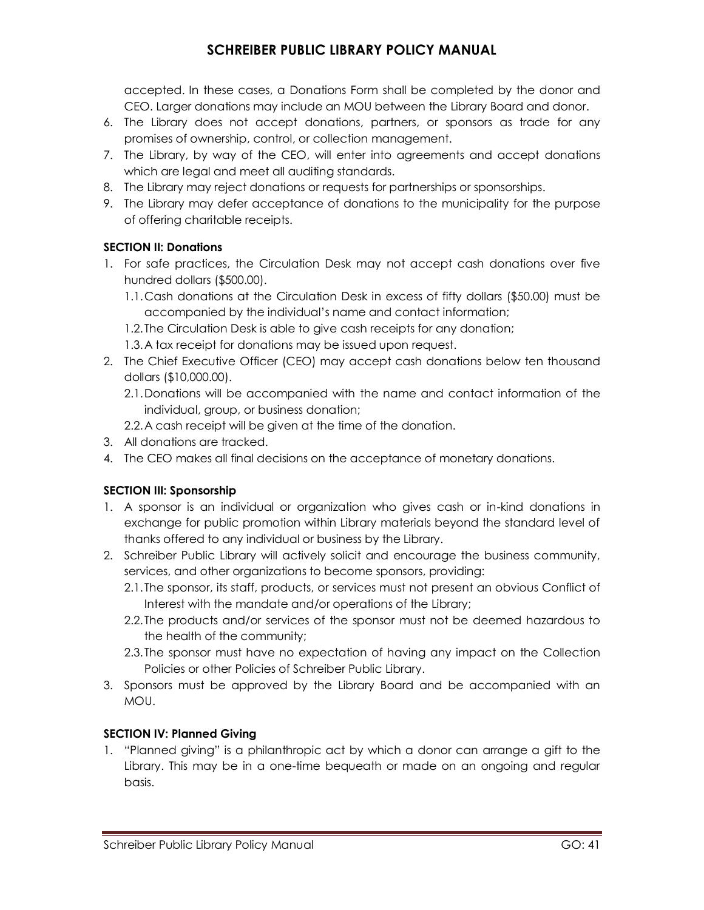accepted. In these cases, a Donations Form shall be completed by the donor and CEO. Larger donations may include an MOU between the Library Board and donor.

- 6. The Library does not accept donations, partners, or sponsors as trade for any promises of ownership, control, or collection management.
- 7. The Library, by way of the CEO, will enter into agreements and accept donations which are legal and meet all auditing standards.
- 8. The Library may reject donations or requests for partnerships or sponsorships.
- 9. The Library may defer acceptance of donations to the municipality for the purpose of offering charitable receipts.

### **SECTION II: Donations**

- 1. For safe practices, the Circulation Desk may not accept cash donations over five hundred dollars (\$500.00).
	- 1.1.Cash donations at the Circulation Desk in excess of fifty dollars (\$50.00) must be accompanied by the individual's name and contact information;
	- 1.2.The Circulation Desk is able to give cash receipts for any donation;
	- 1.3.A tax receipt for donations may be issued upon request.
- 2. The Chief Executive Officer (CEO) may accept cash donations below ten thousand dollars (\$10,000.00).
	- 2.1.Donations will be accompanied with the name and contact information of the individual, group, or business donation;
	- 2.2.A cash receipt will be given at the time of the donation.
- 3. All donations are tracked.
- 4. The CEO makes all final decisions on the acceptance of monetary donations.

### **SECTION III: Sponsorship**

- 1. A sponsor is an individual or organization who gives cash or in-kind donations in exchange for public promotion within Library materials beyond the standard level of thanks offered to any individual or business by the Library.
- 2. Schreiber Public Library will actively solicit and encourage the business community, services, and other organizations to become sponsors, providing:
	- 2.1.The sponsor, its staff, products, or services must not present an obvious Conflict of Interest with the mandate and/or operations of the Library;
	- 2.2.The products and/or services of the sponsor must not be deemed hazardous to the health of the community;
	- 2.3.The sponsor must have no expectation of having any impact on the Collection Policies or other Policies of Schreiber Public Library.
- 3. Sponsors must be approved by the Library Board and be accompanied with an MOU.

### **SECTION IV: Planned Giving**

1. "Planned giving" is a philanthropic act by which a donor can arrange a gift to the Library. This may be in a one-time bequeath or made on an ongoing and regular basis.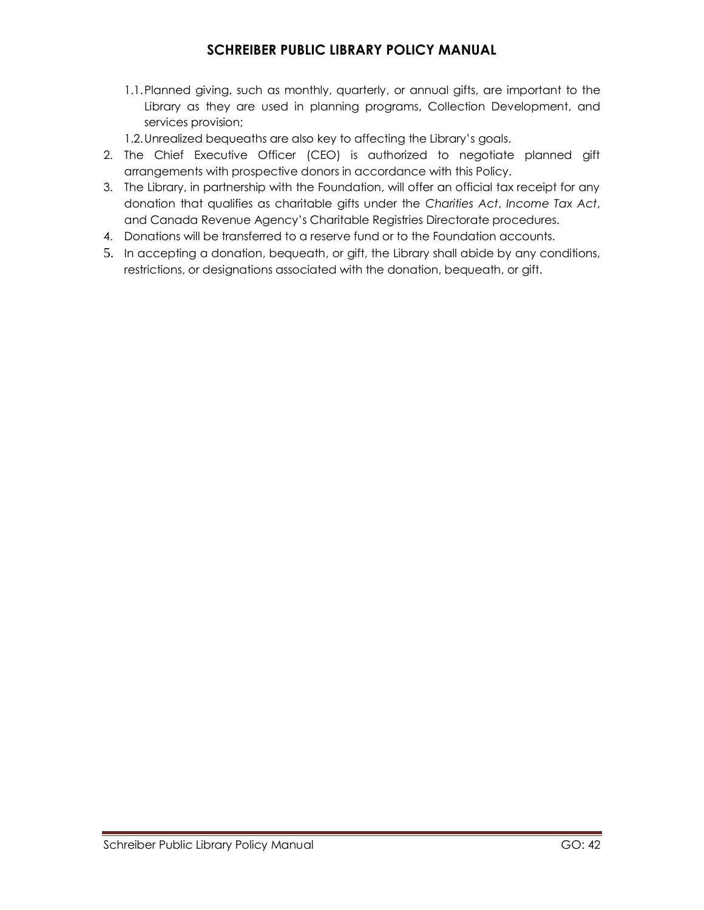- 1.1.Planned giving, such as monthly, quarterly, or annual gifts, are important to the Library as they are used in planning programs, Collection Development, and services provision;
- 1.2.Unrealized bequeaths are also key to affecting the Library's goals.
- 2. The Chief Executive Officer (CEO) is authorized to negotiate planned gift arrangements with prospective donors in accordance with this Policy.
- 3. The Library, in partnership with the Foundation, will offer an official tax receipt for any donation that qualifies as charitable gifts under the *Charities Act*, *Income Tax Act*, and Canada Revenue Agency's Charitable Registries Directorate procedures.
- 4. Donations will be transferred to a reserve fund or to the Foundation accounts.
- 5. In accepting a donation, bequeath, or gift, the Library shall abide by any conditions, restrictions, or designations associated with the donation, bequeath, or gift.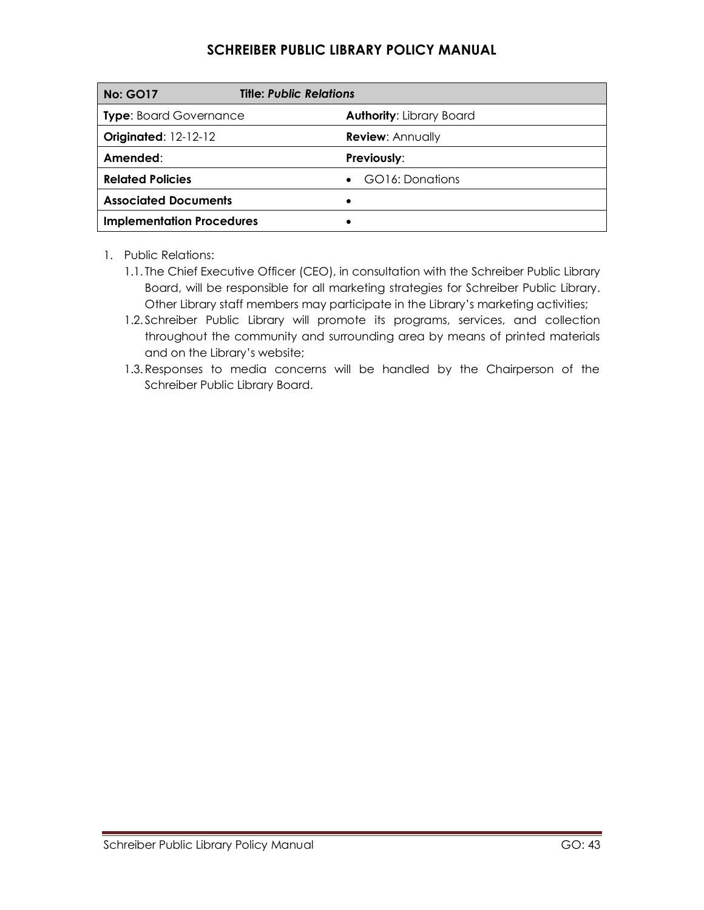| <b>No: GO17</b>                  | <b>Title: Public Relations</b>  |
|----------------------------------|---------------------------------|
| <b>Type: Board Governance</b>    | <b>Authority: Library Board</b> |
| <b>Originated: 12-12-12</b>      | <b>Review: Annually</b>         |
| Amended:                         | Previously:                     |
| <b>Related Policies</b>          | GO16: Donations                 |
| <b>Associated Documents</b>      | ٠                               |
| <b>Implementation Procedures</b> |                                 |

1. Public Relations:

- 1.1. The Chief Executive Officer (CEO), in consultation with the Schreiber Public Library Board, will be responsible for all marketing strategies for Schreiber Public Library. Other Library staff members may participate in the Library's marketing activities;
- 1.2. Schreiber Public Library will promote its programs, services, and collection throughout the community and surrounding area by means of printed materials and on the Library's website;
- 1.3.Responses to media concerns will be handled by the Chairperson of the Schreiber Public Library Board.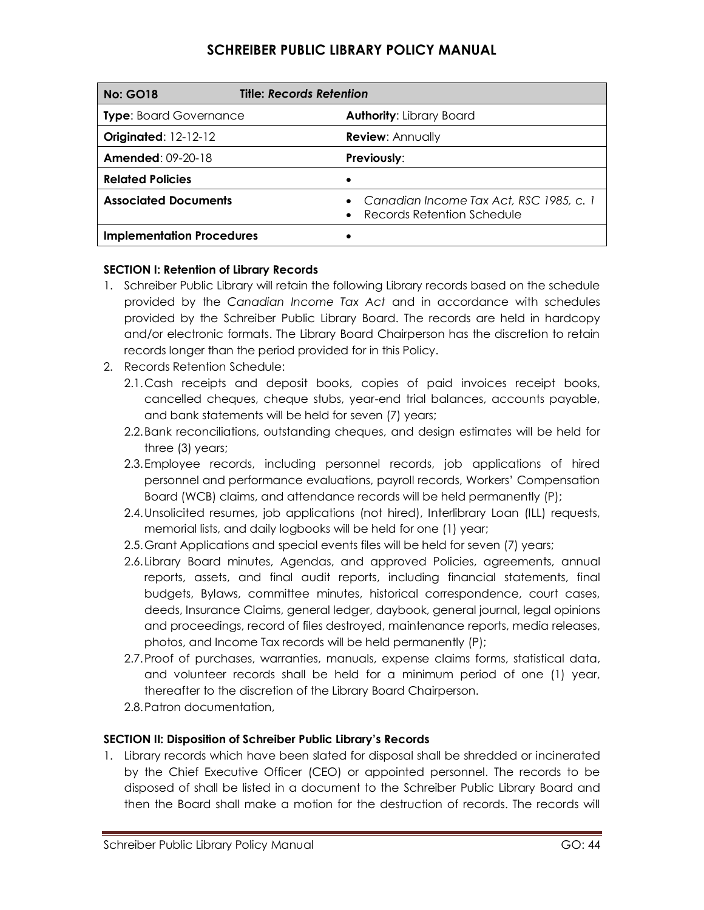| <b>No: GO18</b>                  | <b>Title: Records Retention</b>                                                      |
|----------------------------------|--------------------------------------------------------------------------------------|
| <b>Type: Board Governance</b>    | <b>Authority: Library Board</b>                                                      |
| <b>Originated: 12-12-12</b>      | <b>Review: Annually</b>                                                              |
| <b>Amended: 09-20-18</b>         | <b>Previously:</b>                                                                   |
| <b>Related Policies</b>          |                                                                                      |
| <b>Associated Documents</b>      | • Canadian Income Tax Act, RSC 1985, c. 1<br>Records Retention Schedule<br>$\bullet$ |
| <b>Implementation Procedures</b> |                                                                                      |

### **SECTION I: Retention of Library Records**

- 1. Schreiber Public Library will retain the following Library records based on the schedule provided by the *Canadian Income Tax Act* and in accordance with schedules provided by the Schreiber Public Library Board. The records are held in hardcopy and/or electronic formats. The Library Board Chairperson has the discretion to retain records longer than the period provided for in this Policy.
- 2. Records Retention Schedule:
	- 2.1.Cash receipts and deposit books, copies of paid invoices receipt books, cancelled cheques, cheque stubs, year-end trial balances, accounts payable, and bank statements will be held for seven (7) years;
	- 2.2.Bank reconciliations, outstanding cheques, and design estimates will be held for three (3) years;
	- 2.3.Employee records, including personnel records, job applications of hired personnel and performance evaluations, payroll records, Workers' Compensation Board (WCB) claims, and attendance records will be held permanently (P);
	- 2.4.Unsolicited resumes, job applications (not hired), Interlibrary Loan (ILL) requests, memorial lists, and daily logbooks will be held for one (1) year;
	- 2.5.Grant Applications and special events files will be held for seven (7) years;
	- 2.6.Library Board minutes, Agendas, and approved Policies, agreements, annual reports, assets, and final audit reports, including financial statements, final budgets, Bylaws, committee minutes, historical correspondence, court cases, deeds, Insurance Claims, general ledger, daybook, general journal, legal opinions and proceedings, record of files destroyed, maintenance reports, media releases, photos, and Income Tax records will be held permanently (P);
	- 2.7.Proof of purchases, warranties, manuals, expense claims forms, statistical data, and volunteer records shall be held for a minimum period of one (1) year, thereafter to the discretion of the Library Board Chairperson.
	- 2.8.Patron documentation,

### **SECTION II: Disposition of Schreiber Public Library's Records**

1. Library records which have been slated for disposal shall be shredded or incinerated by the Chief Executive Officer (CEO) or appointed personnel. The records to be disposed of shall be listed in a document to the Schreiber Public Library Board and then the Board shall make a motion for the destruction of records. The records will